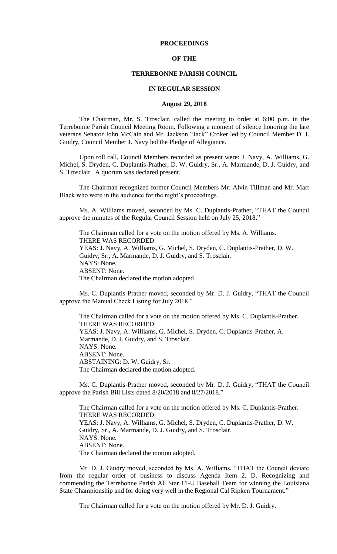# **PROCEEDINGS**

## **OF THE**

### **TERREBONNE PARISH COUNCIL**

### **IN REGULAR SESSION**

## **August 29, 2018**

The Chairman, Mr. S. Trosclair, called the meeting to order at 6:00 p.m. in the Terrebonne Parish Council Meeting Room. Following a moment of silence honoring the late veterans Senator John McCain and Mr. Jackson "Jack" Croker led by Council Member D. J. Guidry, Council Member J. Navy led the Pledge of Allegiance.

Upon roll call, Council Members recorded as present were: J. Navy, A. Williams, G. Michel, S. Dryden, C. Duplantis-Prather, D. W. Guidry, Sr., A. Marmande, D. J. Guidry, and S. Trosclair. A quorum was declared present.

The Chairman recognized former Council Members Mr. Alvin Tillman and Mr. Mart Black who were in the audience for the night's proceedings.

Ms. A. Williams moved, seconded by Ms. C. Duplantis-Prather, "THAT the Council approve the minutes of the Regular Council Session held on July 25, 2018."

The Chairman called for a vote on the motion offered by Ms. A. Williams. THERE WAS RECORDED: YEAS: J. Navy, A. Williams, G. Michel, S. Dryden, C. Duplantis-Prather, D. W. Guidry, Sr., A. Marmande, D. J. Guidry, and S. Trosclair. NAYS: None. ABSENT: None. The Chairman declared the motion adopted.

Ms. C. Duplantis-Prather moved, seconded by Mr. D. J. Guidry, "THAT the Council approve the Manual Check Listing for July 2018."

The Chairman called for a vote on the motion offered by Ms. C. Duplantis-Prather. THERE WAS RECORDED: YEAS: J. Navy, A. Williams, G. Michel, S. Dryden, C. Duplantis-Prather, A. Marmande, D. J. Guidry, and S. Trosclair. NAYS: None. ABSENT: None. ABSTAINING: D. W. Guidry, Sr. The Chairman declared the motion adopted.

Ms. C. Duplantis-Prather moved, seconded by Mr. D. J. Guidry, "THAT the Council approve the Parish Bill Lists dated 8/20/2018 and 8/27/2018."

The Chairman called for a vote on the motion offered by Ms. C. Duplantis-Prather. THERE WAS RECORDED: YEAS: J. Navy, A. Williams, G. Michel, S. Dryden, C. Duplantis-Prather, D. W. Guidry, Sr., A. Marmande, D. J. Guidry, and S. Trosclair. NAYS: None. ABSENT: None. The Chairman declared the motion adopted.

Mr. D. J. Guidry moved, seconded by Ms. A. Williams, "THAT the Council deviate from the regular order of business to discuss Agenda Item 2. D. Recognizing and commending the Terrebonne Parish All Star 11-U Baseball Team for winning the Louisiana State Championship and for doing very well in the Regional Cal Ripken Tournament."

The Chairman called for a vote on the motion offered by Mr. D. J. Guidry.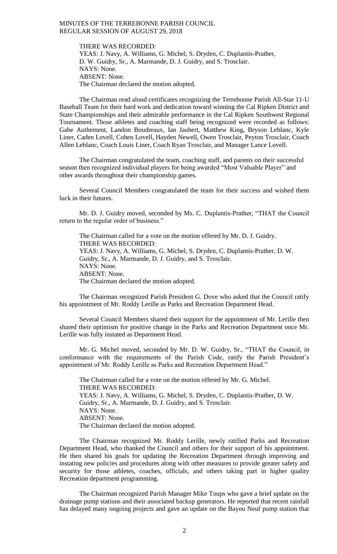THERE WAS RECORDED: YEAS: J. Navy, A. Williams, G. Michel, S. Dryden, C. Duplantis-Prather, D. W. Guidry, Sr., A. Marmande, D. J. Guidry, and S. Trosclair. NAYS: None. ABSENT: None. The Chairman declared the motion adopted.

The Chairman read aloud certificates recognizing the Terrebonne Parish All-Star 11-U Baseball Team for their hard work and dedication toward winning the Cal Ripken District and State Championships and their admirable performance in the Cal Ripken Southwest Regional Tournament. Those athletes and coaching staff being recognized were recorded as follows: Gabe Authement, Landon Boudreaux, Ian Jaubert, Matthew King, Bryson Leblanc, Kyle Liner, Caden Lovell, Cohen Lovell, Hayden Newell, Owen Trosclair, Peyton Trosclair, Coach Allen Leblanc, Coach Louis Liner, Coach Ryan Trosclair, and Manager Lance Lovell.

The Chairman congratulated the team, coaching staff, and parents on their successful season then recognized individual players for being awarded "Most Valuable Player" and other awards throughout their championship games.

Several Council Members congratulated the team for their success and wished them luck in their futures.

Mr. D. J. Guidry moved, seconded by Ms. C. Duplantis-Prather, "THAT the Council return to the regular order of business."

The Chairman called for a vote on the motion offered by Mr. D. J. Guidry. THERE WAS RECORDED: YEAS: J. Navy, A. Williams, G. Michel, S. Dryden, C. Duplantis-Prather, D. W. Guidry, Sr., A. Marmande, D. J. Guidry, and S. Trosclair. NAYS: None. ABSENT: None. The Chairman declared the motion adopted.

The Chairman recognized Parish President G. Dove who asked that the Council ratify his appointment of Mr. Roddy Lerille as Parks and Recreation Department Head.

Several Council Members shared their support for the appointment of Mr. Lerille then shared their optimism for positive change in the Parks and Recreation Department once Mr. Lerille was fully instated as Department Head.

Mr. G. Michel moved, seconded by Mr. D. W. Guidry, Sr., "THAT the Council, in conformance with the requirements of the Parish Code, ratify the Parish President's appointment of Mr. Roddy Lerille as Parks and Recreation Department Head."

The Chairman called for a vote on the motion offered by Mr. G. Michel. THERE WAS RECORDED: YEAS: J. Navy, A. Williams, G. Michel, S. Dryden, C. Duplantis-Prather, D. W. Guidry, Sr., A. Marmande, D. J. Guidry, and S. Trosclair. NAYS: None. ABSENT: None. The Chairman declared the motion adopted.

The Chairman recognized Mr. Roddy Lerille, newly ratified Parks and Recreation Department Head, who thanked the Council and others for their support of his appointment. He then shared his goals for updating the Recreation Department through improving and instating new policies and procedures along with other measures to provide greater safety and security for those athletes, coaches, officials, and others taking part in higher quality Recreation department programming.

The Chairman recognized Parish Manager Mike Toups who gave a brief update on the drainage pump stations and their associated backup generators. He reported that recent rainfall has delayed many ongoing projects and gave an update on the Bayou Neuf pump station that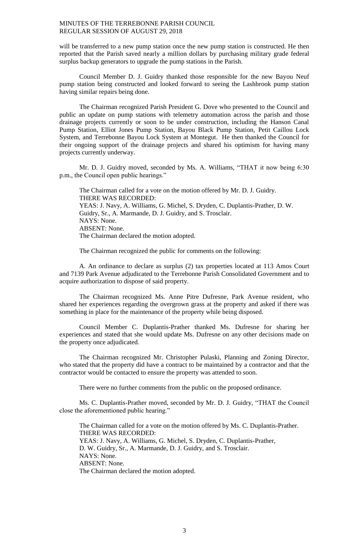will be transferred to a new pump station once the new pump station is constructed. He then reported that the Parish saved nearly a million dollars by purchasing military grade federal surplus backup generators to upgrade the pump stations in the Parish.

Council Member D. J. Guidry thanked those responsible for the new Bayou Neuf pump station being constructed and looked forward to seeing the Lashbrook pump station having similar repairs being done.

The Chairman recognized Parish President G. Dove who presented to the Council and public an update on pump stations with telemetry automation across the parish and those drainage projects currently or soon to be under construction, including the Hanson Canal Pump Station, Elliot Jones Pump Station, Bayou Black Pump Station, Petit Caillou Lock System, and Terrebonne Bayou Lock System at Montegut. He then thanked the Council for their ongoing support of the drainage projects and shared his optimism for having many projects currently underway.

Mr. D. J. Guidry moved, seconded by Ms. A. Williams, "THAT it now being 6:30 p.m., the Council open public hearings."

The Chairman called for a vote on the motion offered by Mr. D. J. Guidry. THERE WAS RECORDED: YEAS: J. Navy, A. Williams, G. Michel, S. Dryden, C. Duplantis-Prather, D. W. Guidry, Sr., A. Marmande, D. J. Guidry, and S. Trosclair. NAYS: None. ABSENT: None. The Chairman declared the motion adopted.

The Chairman recognized the public for comments on the following:

A. An ordinance to declare as surplus (2) tax properties located at 113 Amos Court and 7139 Park Avenue adjudicated to the Terrebonne Parish Consolidated Government and to acquire authorization to dispose of said property.

The Chairman recognized Ms. Anne Pitre Dufresne, Park Avenue resident, who shared her experiences regarding the overgrown grass at the property and asked if there was something in place for the maintenance of the property while being disposed.

Council Member C. Duplantis-Prather thanked Ms. Dufresne for sharing her experiences and stated that she would update Ms. Dufresne on any other decisions made on the property once adjudicated.

The Chairman recognized Mr. Christopher Pulaski, Planning and Zoning Director, who stated that the property did have a contract to be maintained by a contractor and that the contractor would be contacted to ensure the property was attended to soon.

There were no further comments from the public on the proposed ordinance.

Ms. C. Duplantis-Prather moved, seconded by Mr. D. J. Guidry, "THAT the Council close the aforementioned public hearing."

The Chairman called for a vote on the motion offered by Ms. C. Duplantis-Prather. THERE WAS RECORDED: YEAS: J. Navy, A. Williams, G. Michel, S. Dryden, C. Duplantis-Prather, D. W. Guidry, Sr., A. Marmande, D. J. Guidry, and S. Trosclair. NAYS: None. ABSENT: None. The Chairman declared the motion adopted.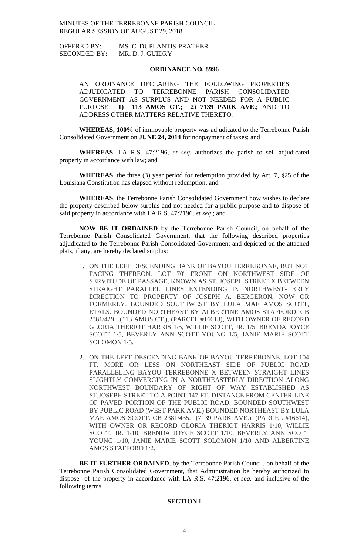OFFERED BY: MS. C. DUPLANTIS-PRATHER SECONDED BY: MR. D. J. GUIDRY

## **ORDINANCE NO. 8996**

AN ORDINANCE DECLARING THE FOLLOWING PROPERTIES ADJUDICATED TO TERREBONNE PARISH CONSOLIDATED GOVERNMENT AS SURPLUS AND NOT NEEDED FOR A PUBLIC PURPOSE; **1) 113 AMOS CT.; 2) 7139 PARK AVE.;** AND TO ADDRESS OTHER MATTERS RELATIVE THERETO.

**WHEREAS, 100%** of immovable property was adjudicated to the Terrebonne Parish Consolidated Government on **JUNE 24, 2014** for nonpayment of taxes; and

**WHEREAS**, LA R.S. 47:2196, *et seq.* authorizes the parish to sell adjudicated property in accordance with law; and

**WHEREAS**, the three (3) year period for redemption provided by Art. 7, §25 of the Louisiana Constitution has elapsed without redemption; and

**WHEREAS**, the Terrebonne Parish Consolidated Government now wishes to declare the property described below surplus and not needed for a public purpose and to dispose of said property in accordance with LA R.S. 47:2196, *et seq*.; and

**NOW BE IT ORDAINED** by the Terrebonne Parish Council, on behalf of the Terrebonne Parish Consolidated Government, that the following described properties adjudicated to the Terrebonne Parish Consolidated Government and depicted on the attached plats, if any, are hereby declared surplus:

- 1. ON THE LEFT DESCENDING BANK OF BAYOU TERREBONNE, BUT NOT FACING THEREON. LOT 70' FRONT ON NORTHWEST SIDE OF SERVITUDE OF PASSAGE, KNOWN AS ST. JOSEPH STREET X BETWEEN STRAIGHT PARALLEL LINES EXTENDING IN NORTHWEST- ERLY DIRECTION TO PROPERTY OF JOSEPH A. BERGERON, NOW OR FORMERLY. BOUNDED SOUTHWEST BY LULA MAE AMOS SCOTT, ETALS. BOUNDED NORTHEAST BY ALBERTINE AMOS STAFFORD. CB 2381/429. (113 AMOS CT.), (PARCEL #16613), WITH OWNER OF RECORD GLORIA THERIOT HARRIS 1/5, WILLIE SCOTT, JR. 1/5, BRENDA JOYCE SCOTT 1/5, BEVERLY ANN SCOTT YOUNG 1/5, JANIE MARIE SCOTT SOLOMON 1/5.
- 2. ON THE LEFT DESCENDING BANK OF BAYOU TERREBONNE. LOT 104 FT. MORE OR LESS ON NORTHEAST SIDE OF PUBLIC ROAD PARALLELING BAYOU TERREBONNE X BETWEEN STRAIGHT LINES SLIGHTLY CONVERGING IN A NORTHEASTERLY DIRECTION ALONG NORTHWEST BOUNDARY OF RIGHT OF WAY ESTABLISHED AS ST.JOSEPH STREET TO A POINT 147 FT. DISTANCE FROM CENTER LINE OF PAVED PORTION OF THE PUBLIC ROAD. BOUNDED SOUTHWEST BY PUBLIC ROAD (WEST PARK AVE.) BOUNDED NORTHEAST BY LULA MAE AMOS SCOTT. CB 2381/435. (7139 PARK AVE.), (PARCEL #16614), WITH OWNER OR RECORD GLORIA THERIOT HARRIS 1/10, WILLIE SCOTT, JR. 1/10, BRENDA JOYCE SCOTT 1/10, BEVERLY ANN SCOTT YOUNG 1/10, JANIE MARIE SCOTT SOLOMON 1/10 AND ALBERTINE AMOS STAFFORD 1/2.

**BE IT FURTHER ORDAINED**, by the Terrebonne Parish Council, on behalf of the Terrebonne Parish Consolidated Government, that Administration be hereby authorized to dispose of the property in accordance with LA R.S. 47:2196, *et seq*. and inclusive of the following terms.

# **SECTION I**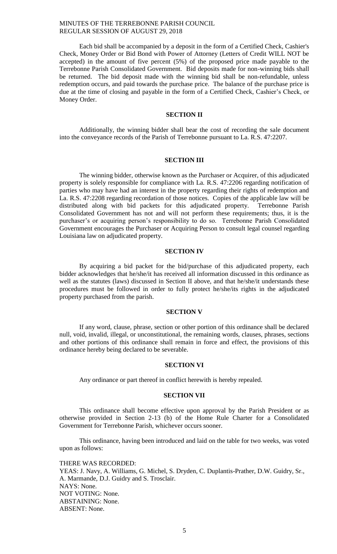Each bid shall be accompanied by a deposit in the form of a Certified Check, Cashier's Check, Money Order or Bid Bond with Power of Attorney (Letters of Credit WILL NOT be accepted) in the amount of five percent (5%) of the proposed price made payable to the Terrebonne Parish Consolidated Government. Bid deposits made for non-winning bids shall be returned. The bid deposit made with the winning bid shall be non-refundable, unless redemption occurs, and paid towards the purchase price. The balance of the purchase price is due at the time of closing and payable in the form of a Certified Check, Cashier's Check, or Money Order.

## **SECTION II**

Additionally, the winning bidder shall bear the cost of recording the sale document into the conveyance records of the Parish of Terrebonne pursuant to La. R.S. 47:2207.

## **SECTION III**

The winning bidder, otherwise known as the Purchaser or Acquirer, of this adjudicated property is solely responsible for compliance with La. R.S. 47:2206 regarding notification of parties who may have had an interest in the property regarding their rights of redemption and La. R.S. 47:2208 regarding recordation of those notices. Copies of the applicable law will be distributed along with bid packets for this adjudicated property. Terrebonne Parish Consolidated Government has not and will not perform these requirements; thus, it is the purchaser's or acquiring person's responsibility to do so. Terrebonne Parish Consolidated Government encourages the Purchaser or Acquiring Person to consult legal counsel regarding Louisiana law on adjudicated property.

## **SECTION IV**

By acquiring a bid packet for the bid/purchase of this adjudicated property, each bidder acknowledges that he/she/it has received all information discussed in this ordinance as well as the statutes (laws) discussed in Section II above, and that he/she/it understands these procedures must be followed in order to fully protect he/she/its rights in the adjudicated property purchased from the parish.

### **SECTION V**

If any word, clause, phrase, section or other portion of this ordinance shall be declared null, void, invalid, illegal, or unconstitutional, the remaining words, clauses, phrases, sections and other portions of this ordinance shall remain in force and effect, the provisions of this ordinance hereby being declared to be severable.

#### **SECTION VI**

Any ordinance or part thereof in conflict herewith is hereby repealed.

#### **SECTION VII**

This ordinance shall become effective upon approval by the Parish President or as otherwise provided in Section 2-13 (b) of the Home Rule Charter for a Consolidated Government for Terrebonne Parish, whichever occurs sooner.

This ordinance, having been introduced and laid on the table for two weeks, was voted upon as follows:

THERE WAS RECORDED: YEAS: J. Navy, A. Williams, G. Michel, S. Dryden, C. Duplantis-Prather, D.W. Guidry, Sr., A. Marmande, D.J. Guidry and S. Trosclair. NAYS: None. NOT VOTING: None. ABSTAINING: None. ABSENT: None.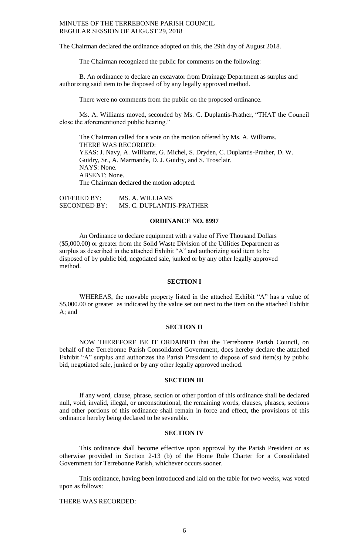The Chairman declared the ordinance adopted on this, the 29th day of August 2018.

The Chairman recognized the public for comments on the following:

B. An ordinance to declare an excavator from Drainage Department as surplus and authorizing said item to be disposed of by any legally approved method.

There were no comments from the public on the proposed ordinance.

Ms. A. Williams moved, seconded by Ms. C. Duplantis-Prather, "THAT the Council close the aforementioned public hearing."

The Chairman called for a vote on the motion offered by Ms. A. Williams. THERE WAS RECORDED: YEAS: J. Navy, A. Williams, G. Michel, S. Dryden, C. Duplantis-Prather, D. W. Guidry, Sr., A. Marmande, D. J. Guidry, and S. Trosclair. NAYS: None. ABSENT: None. The Chairman declared the motion adopted.

OFFERED BY: MS. A. WILLIAMS SECONDED BY: MS. C. DUPLANTIS-PRATHER

# **ORDINANCE NO. 8997**

An Ordinance to declare equipment with a value of Five Thousand Dollars (\$5,000.00) or greater from the Solid Waste Division of the Utilities Department as surplus as described in the attached Exhibit "A" and authorizing said item to be disposed of by public bid, negotiated sale, junked or by any other legally approved method.

## **SECTION I**

WHEREAS, the movable property listed in the attached Exhibit "A" has a value of \$5,000.00 or greater as indicated by the value set out next to the item on the attached Exhibit A; and

### **SECTION II**

NOW THEREFORE BE IT ORDAINED that the Terrebonne Parish Council, on behalf of the Terrebonne Parish Consolidated Government, does hereby declare the attached Exhibit "A" surplus and authorizes the Parish President to dispose of said item(s) by public bid, negotiated sale, junked or by any other legally approved method.

#### **SECTION III**

If any word, clause, phrase, section or other portion of this ordinance shall be declared null, void, invalid, illegal, or unconstitutional, the remaining words, clauses, phrases, sections and other portions of this ordinance shall remain in force and effect, the provisions of this ordinance hereby being declared to be severable.

## **SECTION IV**

This ordinance shall become effective upon approval by the Parish President or as otherwise provided in Section 2-13 (b) of the Home Rule Charter for a Consolidated Government for Terrebonne Parish, whichever occurs sooner.

This ordinance, having been introduced and laid on the table for two weeks, was voted upon as follows:

THERE WAS RECORDED: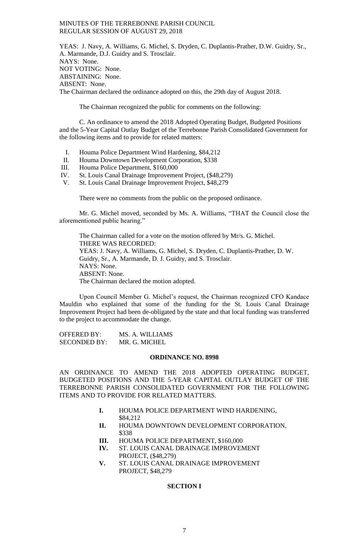YEAS: J. Navy, A. Williams, G. Michel, S. Dryden, C. Duplantis-Prather, D.W. Guidry, Sr., A. Marmande, D.J. Guidry and S. Trosclair. NAYS: None. NOT VOTING: None. ABSTAINING: None. ABSENT: None. The Chairman declared the ordinance adopted on this, the 29th day of August 2018.

The Chairman recognized the public for comments on the following:

C. An ordinance to amend the 2018 Adopted Operating Budget, Budgeted Positions and the 5-Year Capital Outlay Budget of the Terrebonne Parish Consolidated Government for the following items and to provide for related matters:

- I. Houma Police Department Wind Hardening, \$84,212
- II. Houma Downtown Development Corporation, \$338
- III. Houma Police Department, \$160,000
- IV. St. Louis Canal Drainage Improvement Project, (\$48,279)
- V. St. Louis Canal Drainage Improvement Project, \$48,279

There were no comments from the public on the proposed ordinance.

Mr. G. Michel moved, seconded by Ms. A. Williams, "THAT the Council close the aforementioned public hearing."

The Chairman called for a vote on the motion offered by Mr/s. G. Michel. THERE WAS RECORDED: YEAS: J. Navy, A. Williams, G. Michel, S. Dryden, C. Duplantis-Prather, D. W. Guidry, Sr., A. Marmande, D. J. Guidry, and S. Trosclair. NAYS: None. ABSENT: None. The Chairman declared the motion adopted.

Upon Council Member G. Michel's request, the Chairman recognized CFO Kandace Mauldin who explained that some of the funding for the St. Louis Canal Drainage Improvement Project had been de-obligated by the state and that local funding was transferred to the project to accommodate the change.

OFFERED BY: MS. A. WILLIAMS SECONDED BY: MR. G. MICHEL

### **ORDINANCE NO. 8998**

AN ORDINANCE TO AMEND THE 2018 ADOPTED OPERATING BUDGET, BUDGETED POSITIONS AND THE 5-YEAR CAPITAL OUTLAY BUDGET OF THE TERREBONNE PARISH CONSOLIDATED GOVERNMENT FOR THE FOLLOWING ITEMS AND TO PROVIDE FOR RELATED MATTERS.

- **I.** HOUMA POLICE DEPARTMENT WIND HARDENING, \$84,212
- **II.** HOUMA DOWNTOWN DEVELOPMENT CORPORATION, \$338
- **III.** HOUMA POLICE DEPARTMENT, \$160,000
- **IV.** ST. LOUIS CANAL DRAINAGE IMPROVEMENT PROJECT, (\$48,279)
- **V.** ST. LOUIS CANAL DRAINAGE IMPROVEMENT PROJECT, \$48,279

# **SECTION I**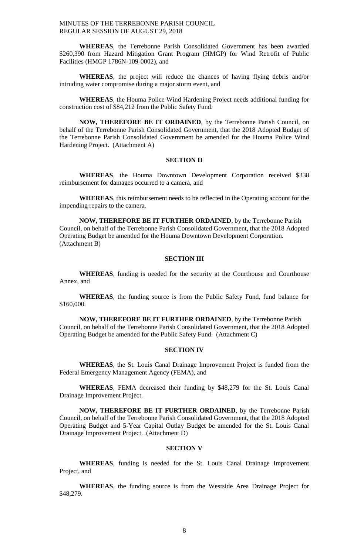**WHEREAS**, the Terrebonne Parish Consolidated Government has been awarded \$260,390 from Hazard Mitigation Grant Program (HMGP) for Wind Retrofit of Public Facilities (HMGP 1786N-109-0002), and

**WHEREAS**, the project will reduce the chances of having flying debris and/or intruding water compromise during a major storm event, and

**WHEREAS**, the Houma Police Wind Hardening Project needs additional funding for construction cost of \$84,212 from the Public Safety Fund.

**NOW, THEREFORE BE IT ORDAINED**, by the Terrebonne Parish Council, on behalf of the Terrebonne Parish Consolidated Government, that the 2018 Adopted Budget of the Terrebonne Parish Consolidated Government be amended for the Houma Police Wind Hardening Project. (Attachment A)

## **SECTION II**

**WHEREAS**, the Houma Downtown Development Corporation received \$338 reimbursement for damages occurred to a camera, and

**WHEREAS**, this reimbursement needs to be reflected in the Operating account for the impending repairs to the camera.

**NOW, THEREFORE BE IT FURTHER ORDAINED**, by the Terrebonne Parish Council, on behalf of the Terrebonne Parish Consolidated Government, that the 2018 Adopted Operating Budget be amended for the Houma Downtown Development Corporation. (Attachment B)

## **SECTION III**

**WHEREAS**, funding is needed for the security at the Courthouse and Courthouse Annex, and

**WHEREAS**, the funding source is from the Public Safety Fund, fund balance for \$160,000.

**NOW, THEREFORE BE IT FURTHER ORDAINED**, by the Terrebonne Parish Council, on behalf of the Terrebonne Parish Consolidated Government, that the 2018 Adopted Operating Budget be amended for the Public Safety Fund. (Attachment C)

## **SECTION IV**

**WHEREAS**, the St. Louis Canal Drainage Improvement Project is funded from the Federal Emergency Management Agency (FEMA), and

**WHEREAS**, FEMA decreased their funding by \$48,279 for the St. Louis Canal Drainage Improvement Project.

**NOW, THEREFORE BE IT FURTHER ORDAINED**, by the Terrebonne Parish Council, on behalf of the Terrebonne Parish Consolidated Government, that the 2018 Adopted Operating Budget and 5-Year Capital Outlay Budget be amended for the St. Louis Canal Drainage Improvement Project. (Attachment D)

### **SECTION V**

**WHEREAS**, funding is needed for the St. Louis Canal Drainage Improvement Project, and

**WHEREAS**, the funding source is from the Westside Area Drainage Project for \$48,279.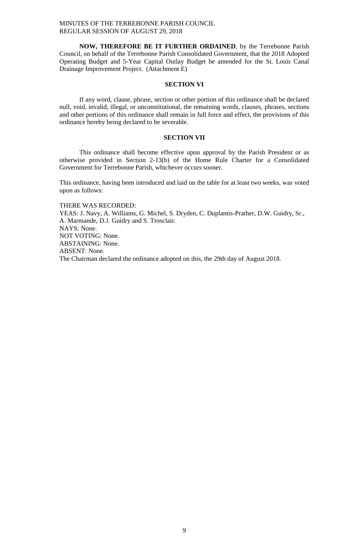**NOW, THEREFORE BE IT FURTHER ORDAINED**, by the Terrebonne Parish Council, on behalf of the Terrebonne Parish Consolidated Government, that the 2018 Adopted Operating Budget and 5-Year Capital Outlay Budget be amended for the St. Louis Canal Drainage Improvement Project. (Attachment E)

## **SECTION VI**

If any word, clause, phrase, section or other portion of this ordinance shall be declared null, void, invalid, illegal, or unconstitutional, the remaining words, clauses, phrases, sections and other portions of this ordinance shall remain in full force and effect, the provisions of this ordinance hereby being declared to be severable.

# **SECTION VII**

This ordinance shall become effective upon approval by the Parish President or as otherwise provided in Section 2-13(b) of the Home Rule Charter for a Consolidated Government for Terrebonne Parish, whichever occurs sooner.

This ordinance, having been introduced and laid on the table for at least two weeks, was voted upon as follows:

THERE WAS RECORDED:

YEAS: J. Navy, A. Williams, G. Michel, S. Dryden, C. Duplantis-Prather, D.W. Guidry, Sr., A. Marmande, D.J. Guidry and S. Trosclair. NAYS: None. NOT VOTING: None. ABSTAINING: None. ABSENT: None. The Chairman declared the ordinance adopted on this, the 29th day of August 2018.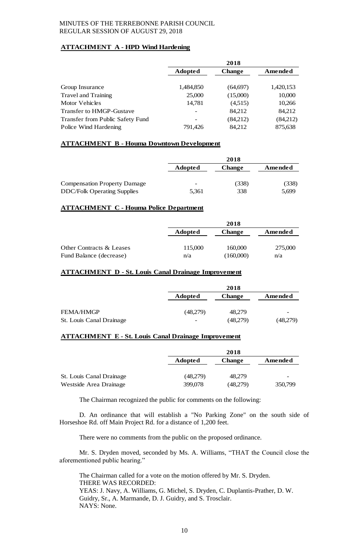# **ATTACHMENT A - HPD Wind Hardening**

|                                  | 2018           |               |           |
|----------------------------------|----------------|---------------|-----------|
|                                  | <b>Adopted</b> | <b>Change</b> | Amended   |
|                                  |                |               |           |
| Group Insurance                  | 1,484,850      | (64, 697)     | 1,420,153 |
| <b>Travel and Training</b>       | 25,000         | (15,000)      | 10,000    |
| Motor Vehicles                   | 14,781         | (4,515)       | 10,266    |
| Transfer to HMGP-Gustave         |                | 84,212        | 84,212    |
| Transfer from Public Safety Fund |                | (84,212)      | (84,212)  |
| Police Wind Hardening            | 791,426        | 84,212        | 875,638   |

# **ATTACHMENT B - Houma Downtown Development**

|                                     | 2018           |               |         |
|-------------------------------------|----------------|---------------|---------|
|                                     | <b>Adopted</b> | <b>Change</b> | Amended |
| <b>Compensation Property Damage</b> | -              | (338)         | (338)   |
| <b>DDC/Folk Operating Supplies</b>  | 5,361          | 338           | 5,699   |

# **ATTACHMENT C - Houma Police Department**

|                          | 2018    |               |         |
|--------------------------|---------|---------------|---------|
|                          | Adopted | <b>Change</b> | Amended |
|                          |         |               |         |
| Other Contracts & Leases | 115,000 | 160,000       | 275,000 |
| Fund Balance (decrease)  | n/a     | (160,000)     | n/a     |

# **ATTACHMENT D - St. Louis Canal Drainage Improvement**

|                          |                          | 2018          |          |
|--------------------------|--------------------------|---------------|----------|
|                          | <b>Adopted</b>           | <b>Change</b> | Amended  |
|                          |                          |               |          |
| <b>FEMA/HMGP</b>         | (48,279)                 | 48.279        |          |
| St. Louis Canal Drainage | $\overline{\phantom{a}}$ | (48,279)      | (48,279) |

# **ATTACHMENT E - St. Louis Canal Drainage Improvement**

|                          | 2018           |               |         |
|--------------------------|----------------|---------------|---------|
|                          | <b>Adopted</b> | <b>Change</b> | Amended |
|                          |                |               |         |
| St. Louis Canal Drainage | (48,279)       | 48.279        | -       |
| Westside Area Drainage   | 399,078        | (48,279)      | 350,799 |

The Chairman recognized the public for comments on the following:

D. An ordinance that will establish a "No Parking Zone" on the south side of Horseshoe Rd. off Main Project Rd. for a distance of 1,200 feet.

There were no comments from the public on the proposed ordinance.

Mr. S. Dryden moved, seconded by Ms. A. Williams, "THAT the Council close the aforementioned public hearing."

The Chairman called for a vote on the motion offered by Mr. S. Dryden. THERE WAS RECORDED: YEAS: J. Navy, A. Williams, G. Michel, S. Dryden, C. Duplantis-Prather, D. W. Guidry, Sr., A. Marmande, D. J. Guidry, and S. Trosclair. NAYS: None.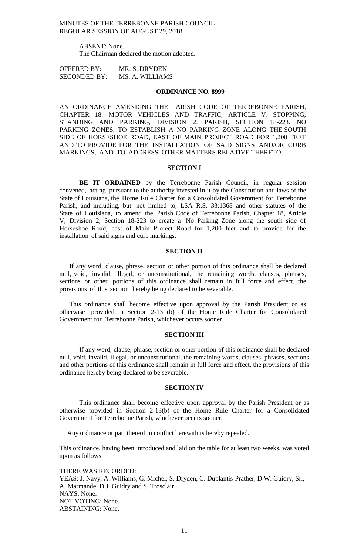> ABSENT: None. The Chairman declared the motion adopted.

OFFERED BY: MR. S. DRYDEN SECONDED BY: MS. A. WILLIAMS

#### **ORDINANCE NO. 8999**

AN ORDINANCE AMENDING THE PARISH CODE OF TERREBONNE PARISH, CHAPTER 18. MOTOR VEHICLES AND TRAFFIC, ARTICLE V. STOPPING, STANDING AND PARKING, DIVISION 2. PARISH, SECTION 18-223. NO PARKING ZONES, TO ESTABLISH A NO PARKING ZONE ALONG THE SOUTH SIDE OF HORSESHOE ROAD, EAST OF MAIN PROJECT ROAD FOR 1,200 FEET AND TO PROVIDE FOR THE INSTALLATION OF SAID SIGNS AND/OR CURB MARKINGS, AND TO ADDRESS OTHER MATTERS RELATIVE THERETO.

### **SECTION I**

**BE IT ORDAINED** by the Terrebonne Parish Council, in regular session convened, acting pursuant to the authority invested in it by the Constitution and laws of the State of Louisiana, the Home Rule Charter for a Consolidated Government for Terrebonne Parish, and including, but not limited to, LSA R.S. 33:1368 and other statutes of the State of Louisiana, to amend the Parish Code of Terrebonne Parish, Chapter 18, Article V, Division 2, Section 18-223 to create a No Parking Zone along the south side of Horseshoe Road, east of Main Project Road for 1,200 feet and to provide for the installation of said signs and curb markings.

## **SECTION II**

If any word, clause, phrase, section or other portion of this ordinance shall be declared null, void, invalid, illegal, or unconstitutional, the remaining words, clauses, phrases, sections or other portions of this ordinance shall remain in full force and effect, the provisions of this section hereby being declared to be severable.

This ordinance shall become effective upon approval by the Parish President or as otherwise provided in Section 2-13 (b) of the Home Rule Charter for Consolidated Government for Terrebonne Parish, whichever occurs sooner.

#### **SECTION III**

If any word, clause, phrase, section or other portion of this ordinance shall be declared null, void, invalid, illegal, or unconstitutional, the remaining words, clauses, phrases, sections and other portions of this ordinance shall remain in full force and effect, the provisions of this ordinance hereby being declared to be severable.

#### **SECTION IV**

This ordinance shall become effective upon approval by the Parish President or as otherwise provided in Section 2-13(b) of the Home Rule Charter for a Consolidated Government for Terrebonne Parish, whichever occurs sooner.

Any ordinance or part thereof in conflict herewith is hereby repealed.

This ordinance, having been introduced and laid on the table for at least two weeks, was voted upon as follows:

THERE WAS RECORDED: YEAS: J. Navy, A. Williams, G. Michel, S. Dryden, C. Duplantis-Prather, D.W. Guidry, Sr., A. Marmande, D.J. Guidry and S. Trosclair. NAYS: None. NOT VOTING: None. ABSTAINING: None.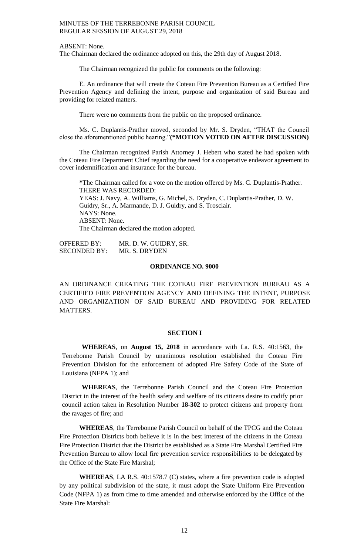ABSENT: None.

The Chairman declared the ordinance adopted on this, the 29th day of August 2018.

The Chairman recognized the public for comments on the following:

E. An ordinance that will create the Coteau Fire Prevention Bureau as a Certified Fire Prevention Agency and defining the intent, purpose and organization of said Bureau and providing for related matters.

There were no comments from the public on the proposed ordinance.

Ms. C. Duplantis-Prather moved, seconded by Mr. S. Dryden, "THAT the Council close the aforementioned public hearing."**(\*MOTION VOTED ON AFTER DISCUSSION)**

The Chairman recognized Parish Attorney J. Hebert who stated he had spoken with the Coteau Fire Department Chief regarding the need for a cooperative endeavor agreement to cover indemnification and insurance for the bureau.

**\***The Chairman called for a vote on the motion offered by Ms. C. Duplantis-Prather. THERE WAS RECORDED: YEAS: J. Navy, A. Williams, G. Michel, S. Dryden, C. Duplantis-Prather, D. W. Guidry, Sr., A. Marmande, D. J. Guidry, and S. Trosclair. NAYS: None. ABSENT: None. The Chairman declared the motion adopted.

OFFERED BY: MR. D. W. GUIDRY, SR. SECONDED BY: MR. S. DRYDEN

### **ORDINANCE NO. 9000**

AN ORDINANCE CREATING THE COTEAU FIRE PREVENTION BUREAU AS A CERTIFIED FIRE PREVENTION AGENCY AND DEFINING THE INTENT, PURPOSE AND ORGANIZATION OF SAID BUREAU AND PROVIDING FOR RELATED MATTERS.

## **SECTION I**

**WHEREAS**, on **August 15, 2018** in accordance with La. R.S. 40:1563, the Terrebonne Parish Council by unanimous resolution established the Coteau Fire Prevention Division for the enforcement of adopted Fire Safety Code of the State of Louisiana (NFPA 1); and

**WHEREAS**, the Terrebonne Parish Council and the Coteau Fire Protection District in the interest of the health safety and welfare of its citizens desire to codify prior council action taken in Resolution Number **18-302** to protect citizens and property from the ravages of fire; and

**WHEREAS**, the Terrebonne Parish Council on behalf of the TPCG and the Coteau Fire Protection Districts both believe it is in the best interest of the citizens in the Coteau Fire Protection District that the District be established as a State Fire Marshal Certified Fire Prevention Bureau to allow local fire prevention service responsibilities to be delegated by the Office of the State Fire Marshal;

**WHEREAS**, LA R.S. 40:1578.7 (C) states, where a fire prevention code is adopted by any political subdivision of the state, it must adopt the State Uniform Fire Prevention Code (NFPA 1) as from time to time amended and otherwise enforced by the Office of the State Fire Marshal: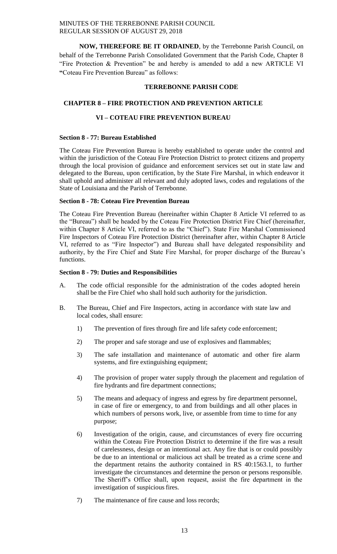**NOW, THEREFORE BE IT ORDAINED**, by the Terrebonne Parish Council, on behalf of the Terrebonne Parish Consolidated Government that the Parish Code, Chapter 8 "Fire Protection & Prevention" be and hereby is amended to add a new ARTICLE VI **"**Coteau Fire Prevention Bureau" as follows:

# **TERREBONNE PARISH CODE**

# **CHAPTER 8 – FIRE PROTECTION AND PREVENTION ARTICLE**

# **VI – COTEAU FIRE PREVENTION BUREAU**

# **Section 8 - 77: Bureau Established**

The Coteau Fire Prevention Bureau is hereby established to operate under the control and within the jurisdiction of the Coteau Fire Protection District to protect citizens and property through the local provision of guidance and enforcement services set out in state law and delegated to the Bureau, upon certification, by the State Fire Marshal, in which endeavor it shall uphold and administer all relevant and duly adopted laws, codes and regulations of the State of Louisiana and the Parish of Terrebonne.

# **Section 8 - 78: Coteau Fire Prevention Bureau**

The Coteau Fire Prevention Bureau (hereinafter within Chapter 8 Article VI referred to as the "Bureau") shall be headed by the Coteau Fire Protection District Fire Chief (hereinafter, within Chapter 8 Article VI, referred to as the "Chief"). State Fire Marshal Commissioned Fire Inspectors of Coteau Fire Protection District (hereinafter after, within Chapter 8 Article VI, referred to as "Fire Inspector") and Bureau shall have delegated responsibility and authority, by the Fire Chief and State Fire Marshal, for proper discharge of the Bureau's functions.

# **Section 8 - 79: Duties and Responsibilities**

- A. The code official responsible for the administration of the codes adopted herein shall be the Fire Chief who shall hold such authority for the jurisdiction.
- B. The Bureau, Chief and Fire Inspectors, acting in accordance with state law and local codes, shall ensure:
	- 1) The prevention of fires through fire and life safety code enforcement;
	- 2) The proper and safe storage and use of explosives and flammables;
	- 3) The safe installation and maintenance of automatic and other fire alarm systems, and fire extinguishing equipment;
	- 4) The provision of proper water supply through the placement and regulation of fire hydrants and fire department connections;
	- 5) The means and adequacy of ingress and egress by fire department personnel, in case of fire or emergency, to and from buildings and all other places in which numbers of persons work, live, or assemble from time to time for any purpose;
	- 6) Investigation of the origin, cause, and circumstances of every fire occurring within the Coteau Fire Protection District to determine if the fire was a result of carelessness, design or an intentional act. Any fire that is or could possibly be due to an intentional or malicious act shall be treated as a crime scene and the department retains the authority contained in RS 40:1563.1, to further investigate the circumstances and determine the person or persons responsible. The Sheriff's Office shall, upon request, assist the fire department in the investigation of suspicious fires.
	- 7) The maintenance of fire cause and loss records;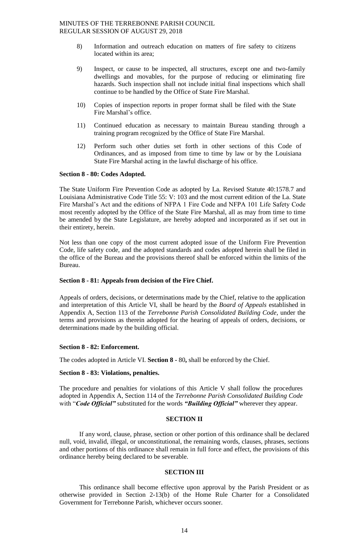- 8) Information and outreach education on matters of fire safety to citizens located within its area;
- 9) Inspect, or cause to be inspected, all structures, except one and two-family dwellings and movables, for the purpose of reducing or eliminating fire hazards. Such inspection shall not include initial final inspections which shall continue to be handled by the Office of State Fire Marshal.
- 10) Copies of inspection reports in proper format shall be filed with the State Fire Marshal's office.
- 11) Continued education as necessary to maintain Bureau standing through a training program recognized by the Office of State Fire Marshal.
- 12) Perform such other duties set forth in other sections of this Code of Ordinances, and as imposed from time to time by law or by the Louisiana State Fire Marshal acting in the lawful discharge of his office.

# **Section 8 - 80: Codes Adopted.**

The State Uniform Fire Prevention Code as adopted by La. Revised Statute 40:1578.7 and Louisiana Administrative Code Title 55: V: 103 and the most current edition of the La. State Fire Marshal's Act and the editions of NFPA 1 Fire Code and NFPA 101 Life Safety Code most recently adopted by the Office of the State Fire Marshal, all as may from time to time be amended by the State Legislature, are hereby adopted and incorporated as if set out in their entirety, herein.

Not less than one copy of the most current adopted issue of the Uniform Fire Prevention Code, life safety code, and the adopted standards and codes adopted herein shall be filed in the office of the Bureau and the provisions thereof shall be enforced within the limits of the Bureau.

## **Section 8 - 81: Appeals from decision of the Fire Chief.**

Appeals of orders, decisions, or determinations made by the Chief, relative to the application and interpretation of this Article VI, shall be heard by the *Board of Appeals* established in Appendix A, Section 113 of the *Terrebonne Parish Consolidated Building Code*, under the terms and provisions as therein adopted for the hearing of appeals of orders, decisions, or determinations made by the building official.

## **Section 8 - 82: Enforcement.**

The codes adopted in Article VI. **Section 8 -** 80**,** shall be enforced by the Chief.

## **Section 8 - 83: Violations, penalties.**

The procedure and penalties for violations of this Article V shall follow the procedures adopted in Appendix A, Section 114 of the *Terrebonne Parish Consolidated Building Code*  with "*Code Official"* substituted for the words *"Building Official"* wherever they appear.

## **SECTION II**

If any word, clause, phrase, section or other portion of this ordinance shall be declared null, void, invalid, illegal, or unconstitutional, the remaining words, clauses, phrases, sections and other portions of this ordinance shall remain in full force and effect, the provisions of this ordinance hereby being declared to be severable.

# **SECTION III**

This ordinance shall become effective upon approval by the Parish President or as otherwise provided in Section 2-13(b) of the Home Rule Charter for a Consolidated Government for Terrebonne Parish, whichever occurs sooner.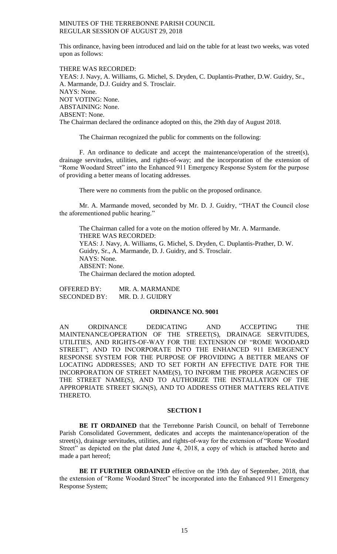This ordinance, having been introduced and laid on the table for at least two weeks, was voted upon as follows:

THERE WAS RECORDED: YEAS: J. Navy, A. Williams, G. Michel, S. Dryden, C. Duplantis-Prather, D.W. Guidry, Sr., A. Marmande, D.J. Guidry and S. Trosclair. NAYS: None. NOT VOTING: None. ABSTAINING: None. ABSENT: None. The Chairman declared the ordinance adopted on this, the 29th day of August 2018.

The Chairman recognized the public for comments on the following:

F. An ordinance to dedicate and accept the maintenance/operation of the street(s), drainage servitudes, utilities, and rights-of-way; and the incorporation of the extension of "Rome Woodard Street" into the Enhanced 911 Emergency Response System for the purpose of providing a better means of locating addresses.

There were no comments from the public on the proposed ordinance.

Mr. A. Marmande moved, seconded by Mr. D. J. Guidry, "THAT the Council close the aforementioned public hearing."

The Chairman called for a vote on the motion offered by Mr. A. Marmande. THERE WAS RECORDED: YEAS: J. Navy, A. Williams, G. Michel, S. Dryden, C. Duplantis-Prather, D. W. Guidry, Sr., A. Marmande, D. J. Guidry, and S. Trosclair. NAYS: None. ABSENT: None. The Chairman declared the motion adopted.

OFFERED BY: MR. A. MARMANDE SECONDED BY: MR. D. J. GUIDRY

### **ORDINANCE NO. 9001**

AN ORDINANCE DEDICATING AND ACCEPTING THE MAINTENANCE/OPERATION OF THE STREET(S), DRAINAGE SERVITUDES, UTILITIES, AND RIGHTS-OF-WAY FOR THE EXTENSION OF "ROME WOODARD STREET"; AND TO INCORPORATE INTO THE ENHANCED 911 EMERGENCY RESPONSE SYSTEM FOR THE PURPOSE OF PROVIDING A BETTER MEANS OF LOCATING ADDRESSES; AND TO SET FORTH AN EFFECTIVE DATE FOR THE INCORPORATION OF STREET NAME(S), TO INFORM THE PROPER AGENCIES OF THE STREET NAME(S), AND TO AUTHORIZE THE INSTALLATION OF THE APPROPRIATE STREET SIGN(S), AND TO ADDRESS OTHER MATTERS RELATIVE THERETO.

## **SECTION I**

**BE IT ORDAINED** that the Terrebonne Parish Council, on behalf of Terrebonne Parish Consolidated Government, dedicates and accepts the maintenance/operation of the street(s), drainage servitudes, utilities, and rights-of-way for the extension of "Rome Woodard Street" as depicted on the plat dated June 4, 2018, a copy of which is attached hereto and made a part hereof;

**BE IT FURTHER ORDAINED** effective on the 19th day of September, 2018, that the extension of "Rome Woodard Street" be incorporated into the Enhanced 911 Emergency Response System;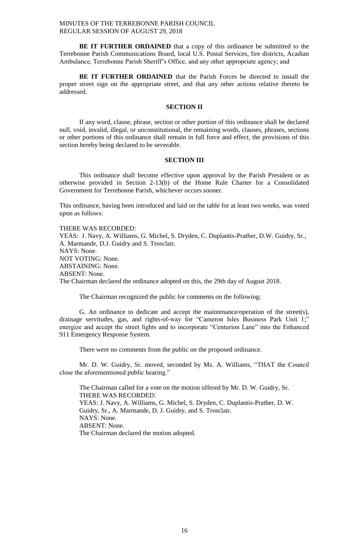**BE IT FURTHER ORDAINED** that a copy of this ordinance be submitted to the Terrebonne Parish Communications Board, local U.S. Postal Services, fire districts, Acadian Ambulance, Terrebonne Parish Sheriff's Office, and any other appropriate agency; and

**BE IT FURTHER ORDAINED** that the Parish Forces be directed to install the proper street sign on the appropriate street, and that any other actions relative thereto be addressed.

## **SECTION II**

If any word, clause, phrase, section or other portion of this ordinance shall be declared null, void, invalid, illegal, or unconstitutional, the remaining words, clauses, phrases, sections or other portions of this ordinance shall remain in full force and effect, the provisions of this section hereby being declared to be severable.

## **SECTION III**

This ordinance shall become effective upon approval by the Parish President or as otherwise provided in Section 2-13(b) of the Home Rule Charter for a Consolidated Government for Terrebonne Parish, whichever occurs sooner.

This ordinance, having been introduced and laid on the table for at least two weeks, was voted upon as follows:

THERE WAS RECORDED: YEAS: J. Navy, A. Williams, G. Michel, S. Dryden, C. Duplantis-Prather, D.W. Guidry, Sr., A. Marmande, D.J. Guidry and S. Trosclair. NAYS: None. NOT VOTING: None. ABSTAINING: None. ABSENT: None. The Chairman declared the ordinance adopted on this, the 29th day of August 2018.

The Chairman recognized the public for comments on the following:

G. An ordinance to dedicate and accept the maintenance/operation of the street(s), drainage servitudes, gas, and rights-of-way for "Cameron Isles Business Park Unit 1;" energize and accept the street lights and to incorporate "Centurion Lane" into the Enhanced 911 Emergency Response System.

There were no comments from the public on the proposed ordinance.

Mr. D. W. Guidry, Sr. moved, seconded by Ms. A. Williams, "THAT the Council close the aforementioned public hearing."

The Chairman called for a vote on the motion offered by Mr. D. W. Guidry, Sr. THERE WAS RECORDED: YEAS: J. Navy, A. Williams, G. Michel, S. Dryden, C. Duplantis-Prather, D. W. Guidry, Sr., A. Marmande, D. J. Guidry, and S. Trosclair. NAYS: None. ABSENT: None. The Chairman declared the motion adopted.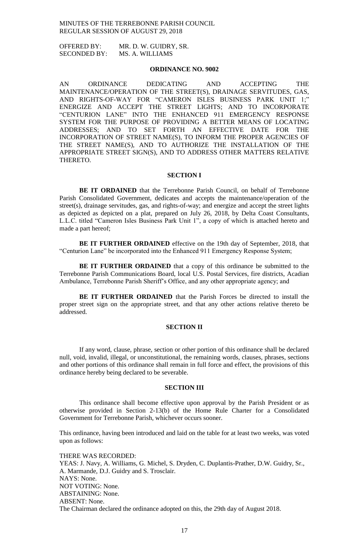OFFERED BY: MR. D. W. GUIDRY, SR. SECONDED BY: MS. A. WILLIAMS

## **ORDINANCE NO. 9002**

AN ORDINANCE DEDICATING AND ACCEPTING THE MAINTENANCE/OPERATION OF THE STREET(S), DRAINAGE SERVITUDES, GAS, AND RIGHTS-OF-WAY FOR "CAMERON ISLES BUSINESS PARK UNIT 1;" ENERGIZE AND ACCEPT THE STREET LIGHTS; AND TO INCORPORATE "CENTURION LANE" INTO THE ENHANCED 911 EMERGENCY RESPONSE SYSTEM FOR THE PURPOSE OF PROVIDING A BETTER MEANS OF LOCATING ADDRESSES; AND TO SET FORTH AN EFFECTIVE DATE FOR THE INCORPORATION OF STREET NAME(S), TO INFORM THE PROPER AGENCIES OF THE STREET NAME(S), AND TO AUTHORIZE THE INSTALLATION OF THE APPROPRIATE STREET SIGN(S), AND TO ADDRESS OTHER MATTERS RELATIVE THERETO.

#### **SECTION I**

**BE IT ORDAINED** that the Terrebonne Parish Council, on behalf of Terrebonne Parish Consolidated Government, dedicates and accepts the maintenance/operation of the street(s), drainage servitudes, gas, and rights-of-way; and energize and accept the street lights as depicted as depicted on a plat, prepared on July 26, 2018, by Delta Coast Consultants, L.L.C. titled "Cameron Isles Business Park Unit 1", a copy of which is attached hereto and made a part hereof;

**BE IT FURTHER ORDAINED** effective on the 19th day of September, 2018, that "Centurion Lane" be incorporated into the Enhanced 911 Emergency Response System;

BE IT FURTHER ORDAINED that a copy of this ordinance be submitted to the Terrebonne Parish Communications Board, local U.S. Postal Services, fire districts, Acadian Ambulance, Terrebonne Parish Sheriff's Office, and any other appropriate agency; and

**BE IT FURTHER ORDAINED** that the Parish Forces be directed to install the proper street sign on the appropriate street, and that any other actions relative thereto be addressed.

# **SECTION II**

If any word, clause, phrase, section or other portion of this ordinance shall be declared null, void, invalid, illegal, or unconstitutional, the remaining words, clauses, phrases, sections and other portions of this ordinance shall remain in full force and effect, the provisions of this ordinance hereby being declared to be severable.

#### **SECTION III**

This ordinance shall become effective upon approval by the Parish President or as otherwise provided in Section 2-13(b) of the Home Rule Charter for a Consolidated Government for Terrebonne Parish, whichever occurs sooner.

This ordinance, having been introduced and laid on the table for at least two weeks, was voted upon as follows:

THERE WAS RECORDED: YEAS: J. Navy, A. Williams, G. Michel, S. Dryden, C. Duplantis-Prather, D.W. Guidry, Sr., A. Marmande, D.J. Guidry and S. Trosclair. NAYS: None. NOT VOTING: None. ABSTAINING: None. ABSENT: None. The Chairman declared the ordinance adopted on this, the 29th day of August 2018.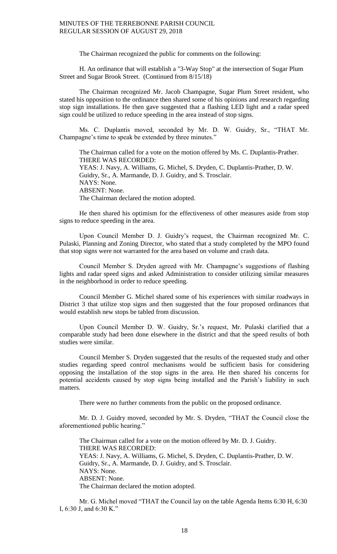The Chairman recognized the public for comments on the following:

H. An ordinance that will establish a "3-Way Stop" at the intersection of Sugar Plum Street and Sugar Brook Street. (Continued from 8/15/18)

The Chairman recognized Mr. Jacob Champagne, Sugar Plum Street resident, who stated his opposition to the ordinance then shared some of his opinions and research regarding stop sign installations. He then gave suggested that a flashing LED light and a radar speed sign could be utilized to reduce speeding in the area instead of stop signs.

Ms. C. Duplantis moved, seconded by Mr. D. W. Guidry, Sr., "THAT Mr. Champagne's time to speak be extended by three minutes."

The Chairman called for a vote on the motion offered by Ms. C. Duplantis-Prather. THERE WAS RECORDED: YEAS: J. Navy, A. Williams, G. Michel, S. Dryden, C. Duplantis-Prather, D. W. Guidry, Sr., A. Marmande, D. J. Guidry, and S. Trosclair. NAYS: None. ABSENT: None. The Chairman declared the motion adopted.

He then shared his optimism for the effectiveness of other measures aside from stop signs to reduce speeding in the area.

Upon Council Member D. J. Guidry's request, the Chairman recognized Mr. C. Pulaski, Planning and Zoning Director, who stated that a study completed by the MPO found that stop signs were not warranted for the area based on volume and crash data.

Council Member S. Dryden agreed with Mr. Champagne's suggestions of flashing lights and radar speed signs and asked Administration to consider utilizing similar measures in the neighborhood in order to reduce speeding.

Council Member G. Michel shared some of his experiences with similar roadways in District 3 that utilize stop signs and then suggested that the four proposed ordinances that would establish new stops be tabled from discussion.

Upon Council Member D. W. Guidry, Sr.'s request, Mr. Pulaski clarified that a comparable study had been done elsewhere in the district and that the speed results of both studies were similar.

Council Member S. Dryden suggested that the results of the requested study and other studies regarding speed control mechanisms would be sufficient basis for considering opposing the installation of the stop signs in the area. He then shared his concerns for potential accidents caused by stop signs being installed and the Parish's liability in such matters.

There were no further comments from the public on the proposed ordinance.

Mr. D. J. Guidry moved, seconded by Mr. S. Dryden, "THAT the Council close the aforementioned public hearing."

The Chairman called for a vote on the motion offered by Mr. D. J. Guidry. THERE WAS RECORDED: YEAS: J. Navy, A. Williams, G. Michel, S. Dryden, C. Duplantis-Prather, D. W. Guidry, Sr., A. Marmande, D. J. Guidry, and S. Trosclair. NAYS: None. ABSENT: None. The Chairman declared the motion adopted.

Mr. G. Michel moved "THAT the Council lay on the table Agenda Items 6:30 H, 6:30 I, 6:30 J, and 6:30 K."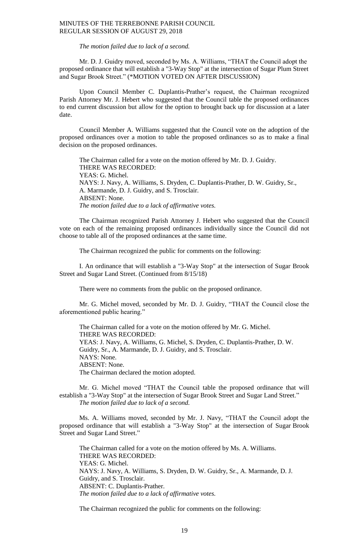*The motion failed due to lack of a second.*

Mr. D. J. Guidry moved, seconded by Ms. A. Williams, "THAT the Council adopt the proposed ordinance that will establish a "3-Way Stop" at the intersection of Sugar Plum Street and Sugar Brook Street." (\*MOTION VOTED ON AFTER DISCUSSION)

Upon Council Member C. Duplantis-Prather's request, the Chairman recognized Parish Attorney Mr. J. Hebert who suggested that the Council table the proposed ordinances to end current discussion but allow for the option to brought back up for discussion at a later date.

Council Member A. Williams suggested that the Council vote on the adoption of the proposed ordinances over a motion to table the proposed ordinances so as to make a final decision on the proposed ordinances.

The Chairman called for a vote on the motion offered by Mr. D. J. Guidry. THERE WAS RECORDED: YEAS: G. Michel. NAYS: J. Navy, A. Williams, S. Dryden, C. Duplantis-Prather, D. W. Guidry, Sr., A. Marmande, D. J. Guidry, and S. Trosclair. ABSENT: None. *The motion failed due to a lack of affirmative votes.*

The Chairman recognized Parish Attorney J. Hebert who suggested that the Council vote on each of the remaining proposed ordinances individually since the Council did not choose to table all of the proposed ordinances at the same time.

The Chairman recognized the public for comments on the following:

I. An ordinance that will establish a "3-Way Stop" at the intersection of Sugar Brook Street and Sugar Land Street. (Continued from 8/15/18)

There were no comments from the public on the proposed ordinance.

Mr. G. Michel moved, seconded by Mr. D. J. Guidry, "THAT the Council close the aforementioned public hearing."

The Chairman called for a vote on the motion offered by Mr. G. Michel. THERE WAS RECORDED: YEAS: J. Navy, A. Williams, G. Michel, S. Dryden, C. Duplantis-Prather, D. W. Guidry, Sr., A. Marmande, D. J. Guidry, and S. Trosclair. NAYS: None. ABSENT: None. The Chairman declared the motion adopted.

Mr. G. Michel moved "THAT the Council table the proposed ordinance that will establish a "3-Way Stop" at the intersection of Sugar Brook Street and Sugar Land Street." *The motion failed due to lack of a second.*

Ms. A. Williams moved, seconded by Mr. J. Navy, "THAT the Council adopt the proposed ordinance that will establish a "3-Way Stop" at the intersection of Sugar Brook Street and Sugar Land Street."

The Chairman called for a vote on the motion offered by Ms. A. Williams. THERE WAS RECORDED: YEAS: G. Michel. NAYS: J. Navy, A. Williams, S. Dryden, D. W. Guidry, Sr., A. Marmande, D. J. Guidry, and S. Trosclair. ABSENT: C. Duplantis-Prather. *The motion failed due to a lack of affirmative votes.*

The Chairman recognized the public for comments on the following: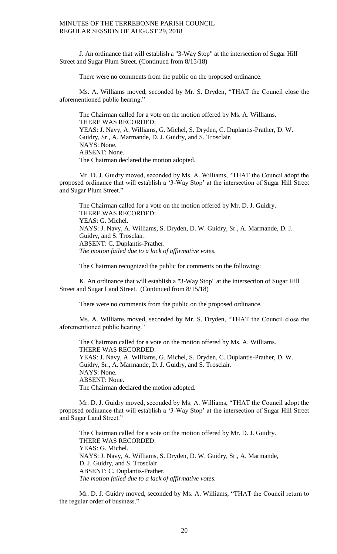J. An ordinance that will establish a "3-Way Stop" at the intersection of Sugar Hill Street and Sugar Plum Street. (Continued from 8/15/18)

There were no comments from the public on the proposed ordinance.

Ms. A. Williams moved, seconded by Mr. S. Dryden, "THAT the Council close the aforementioned public hearing."

The Chairman called for a vote on the motion offered by Ms. A. Williams. THERE WAS RECORDED: YEAS: J. Navy, A. Williams, G. Michel, S. Dryden, C. Duplantis-Prather, D. W. Guidry, Sr., A. Marmande, D. J. Guidry, and S. Trosclair. NAYS: None. ABSENT: None. The Chairman declared the motion adopted.

Mr. D. J. Guidry moved, seconded by Ms. A. Williams, "THAT the Council adopt the proposed ordinance that will establish a '3-Way Stop' at the intersection of Sugar Hill Street and Sugar Plum Street."

The Chairman called for a vote on the motion offered by Mr. D. J. Guidry. THERE WAS RECORDED: YEAS: G. Michel. NAYS: J. Navy, A. Williams, S. Dryden, D. W. Guidry, Sr., A. Marmande, D. J. Guidry, and S. Trosclair. ABSENT: C. Duplantis-Prather. *The motion failed due to a lack of affirmative votes.*

The Chairman recognized the public for comments on the following:

K. An ordinance that will establish a "3-Way Stop" at the intersection of Sugar Hill Street and Sugar Land Street. (Continued from 8/15/18)

There were no comments from the public on the proposed ordinance.

Ms. A. Williams moved, seconded by Mr. S. Dryden, "THAT the Council close the aforementioned public hearing."

The Chairman called for a vote on the motion offered by Ms. A. Williams. THERE WAS RECORDED: YEAS: J. Navy, A. Williams, G. Michel, S. Dryden, C. Duplantis-Prather, D. W. Guidry, Sr., A. Marmande, D. J. Guidry, and S. Trosclair. NAYS: None. ABSENT: None. The Chairman declared the motion adopted.

Mr. D. J. Guidry moved, seconded by Ms. A. Williams, "THAT the Council adopt the proposed ordinance that will establish a '3-Way Stop' at the intersection of Sugar Hill Street and Sugar Land Street."

The Chairman called for a vote on the motion offered by Mr. D. J. Guidry. THERE WAS RECORDED: YEAS: G. Michel. NAYS: J. Navy, A. Williams, S. Dryden, D. W. Guidry, Sr., A. Marmande, D. J. Guidry, and S. Trosclair. ABSENT: C. Duplantis-Prather. *The motion failed due to a lack of affirmative votes.*

Mr. D. J. Guidry moved, seconded by Ms. A. Williams, "THAT the Council return to the regular order of business."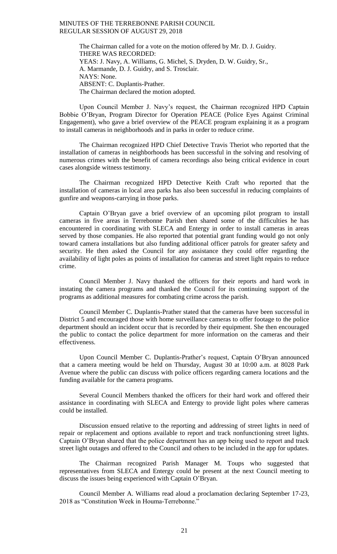The Chairman called for a vote on the motion offered by Mr. D. J. Guidry. THERE WAS RECORDED: YEAS: J. Navy, A. Williams, G. Michel, S. Dryden, D. W. Guidry, Sr., A. Marmande, D. J. Guidry, and S. Trosclair. NAYS: None. ABSENT: C. Duplantis-Prather. The Chairman declared the motion adopted.

Upon Council Member J. Navy's request, the Chairman recognized HPD Captain Bobbie O'Bryan, Program Director for Operation PEACE (Police Eyes Against Criminal Engagement), who gave a brief overview of the PEACE program explaining it as a program to install cameras in neighborhoods and in parks in order to reduce crime.

The Chairman recognized HPD Chief Detective Travis Theriot who reported that the installation of cameras in neighborhoods has been successful in the solving and resolving of numerous crimes with the benefit of camera recordings also being critical evidence in court cases alongside witness testimony.

The Chairman recognized HPD Detective Keith Craft who reported that the installation of cameras in local area parks has also been successful in reducing complaints of gunfire and weapons-carrying in those parks.

Captain O'Bryan gave a brief overview of an upcoming pilot program to install cameras in five areas in Terrebonne Parish then shared some of the difficulties he has encountered in coordinating with SLECA and Entergy in order to install cameras in areas served by those companies. He also reported that potential grant funding would go not only toward camera installations but also funding additional officer patrols for greater safety and security. He then asked the Council for any assistance they could offer regarding the availability of light poles as points of installation for cameras and street light repairs to reduce crime.

Council Member J. Navy thanked the officers for their reports and hard work in instating the camera programs and thanked the Council for its continuing support of the programs as additional measures for combating crime across the parish.

Council Member C. Duplantis-Prather stated that the cameras have been successful in District 5 and encouraged those with home surveillance cameras to offer footage to the police department should an incident occur that is recorded by their equipment. She then encouraged the public to contact the police department for more information on the cameras and their effectiveness.

Upon Council Member C. Duplantis-Prather's request, Captain O'Bryan announced that a camera meeting would be held on Thursday, August 30 at 10:00 a.m. at 8028 Park Avenue where the public can discuss with police officers regarding camera locations and the funding available for the camera programs.

Several Council Members thanked the officers for their hard work and offered their assistance in coordinating with SLECA and Entergy to provide light poles where cameras could be installed.

Discussion ensued relative to the reporting and addressing of street lights in need of repair or replacement and options available to report and track nonfunctioning street lights. Captain O'Bryan shared that the police department has an app being used to report and track street light outages and offered to the Council and others to be included in the app for updates.

The Chairman recognized Parish Manager M. Toups who suggested that representatives from SLECA and Entergy could be present at the next Council meeting to discuss the issues being experienced with Captain O'Bryan.

Council Member A. Williams read aloud a proclamation declaring September 17-23, 2018 as "Constitution Week in Houma-Terrebonne."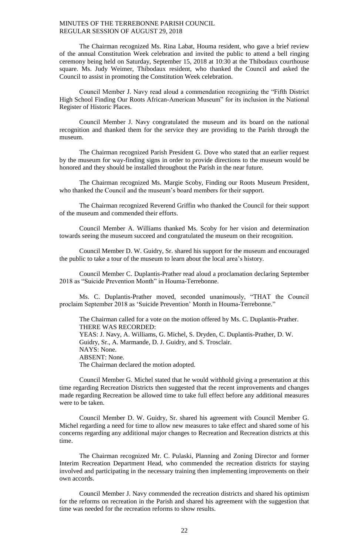The Chairman recognized Ms. Rina Labat, Houma resident, who gave a brief review of the annual Constitution Week celebration and invited the public to attend a bell ringing ceremony being held on Saturday, September 15, 2018 at 10:30 at the Thibodaux courthouse square. Ms. Judy Weimer, Thibodaux resident, who thanked the Council and asked the Council to assist in promoting the Constitution Week celebration.

Council Member J. Navy read aloud a commendation recognizing the "Fifth District High School Finding Our Roots African-American Museum" for its inclusion in the National Register of Historic Places.

Council Member J. Navy congratulated the museum and its board on the national recognition and thanked them for the service they are providing to the Parish through the museum.

The Chairman recognized Parish President G. Dove who stated that an earlier request by the museum for way-finding signs in order to provide directions to the museum would be honored and they should be installed throughout the Parish in the near future.

The Chairman recognized Ms. Margie Scoby, Finding our Roots Museum President, who thanked the Council and the museum's board members for their support.

The Chairman recognized Reverend Griffin who thanked the Council for their support of the museum and commended their efforts.

Council Member A. Williams thanked Ms. Scoby for her vision and determination towards seeing the museum succeed and congratulated the museum on their recognition.

Council Member D. W. Guidry, Sr. shared his support for the museum and encouraged the public to take a tour of the museum to learn about the local area's history.

Council Member C. Duplantis-Prather read aloud a proclamation declaring September 2018 as "Suicide Prevention Month" in Houma-Terrebonne.

Ms. C. Duplantis-Prather moved, seconded unanimously, "THAT the Council proclaim September 2018 as 'Suicide Prevention' Month in Houma-Terrebonne."

The Chairman called for a vote on the motion offered by Ms. C. Duplantis-Prather. THERE WAS RECORDED: YEAS: J. Navy, A. Williams, G. Michel, S. Dryden, C. Duplantis-Prather, D. W. Guidry, Sr., A. Marmande, D. J. Guidry, and S. Trosclair. NAYS: None. ABSENT: None. The Chairman declared the motion adopted.

Council Member G. Michel stated that he would withhold giving a presentation at this time regarding Recreation Districts then suggested that the recent improvements and changes made regarding Recreation be allowed time to take full effect before any additional measures were to be taken.

Council Member D. W. Guidry, Sr. shared his agreement with Council Member G. Michel regarding a need for time to allow new measures to take effect and shared some of his concerns regarding any additional major changes to Recreation and Recreation districts at this time.

The Chairman recognized Mr. C. Pulaski, Planning and Zoning Director and former Interim Recreation Department Head, who commended the recreation districts for staying involved and participating in the necessary training then implementing improvements on their own accords.

Council Member J. Navy commended the recreation districts and shared his optimism for the reforms on recreation in the Parish and shared his agreement with the suggestion that time was needed for the recreation reforms to show results.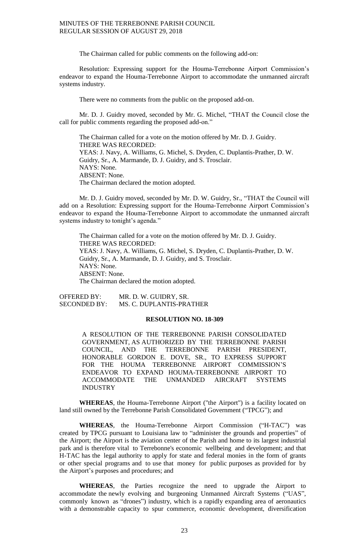The Chairman called for public comments on the following add-on:

Resolution: Expressing support for the Houma-Terrebonne Airport Commission's endeavor to expand the Houma-Terrebonne Airport to accommodate the unmanned aircraft systems industry.

There were no comments from the public on the proposed add-on.

Mr. D. J. Guidry moved, seconded by Mr. G. Michel, "THAT the Council close the call for public comments regarding the proposed add-on."

The Chairman called for a vote on the motion offered by Mr. D. J. Guidry. THERE WAS RECORDED: YEAS: J. Navy, A. Williams, G. Michel, S. Dryden, C. Duplantis-Prather, D. W. Guidry, Sr., A. Marmande, D. J. Guidry, and S. Trosclair. NAYS: None. ABSENT: None. The Chairman declared the motion adopted.

Mr. D. J. Guidry moved, seconded by Mr. D. W. Guidry, Sr., "THAT the Council will add on a Resolution: Expressing support for the Houma-Terrebonne Airport Commission's endeavor to expand the Houma-Terrebonne Airport to accommodate the unmanned aircraft systems industry to tonight's agenda."

The Chairman called for a vote on the motion offered by Mr. D. J. Guidry. THERE WAS RECORDED: YEAS: J. Navy, A. Williams, G. Michel, S. Dryden, C. Duplantis-Prather, D. W. Guidry, Sr., A. Marmande, D. J. Guidry, and S. Trosclair. NAYS: None. ABSENT: None. The Chairman declared the motion adopted.

OFFERED BY: MR. D. W. GUIDRY, SR.<br>SECONDED BY: MS. C. DUPLANTIS-PRA MS. C. DUPLANTIS-PRATHER

### **RESOLUTION NO. 18-309**

A RESOLUTION OF THE TERREBONNE PARISH CONSOLIDATED GOVERNMENT, AS AUTHORIZED BY THE TERREBONNE PARISH COUNCIL, AND THE TERREBONNE PARISH PRESIDENT, HONORABLE GORDON E. DOVE, SR., TO EXPRESS SUPPORT FOR THE HOUMA TERREBONNE AIRPORT COMMISSION'S ENDEAVOR TO EXPAND HOUMA-TERREBONNE AIRPORT TO ACCOMMODATE THE UNMANDED AIRCRAFT SYSTEMS INDUSTRY

**WHEREAS**, the Houma-Terrebonne Airport ("the Airport") is a facility located on land still owned by the Terrebonne Parish Consolidated Government ("TPCG"); and

**WHEREAS**, the Houma-Terrebonne Airport Commission ("H-TAC") was created by TPCG pursuant to Louisiana law to "administer the grounds and properties" of the Airport; the Airport is the aviation center of the Parish and home to its largest industrial park and is therefore vital to Terrebonne's economic wellbeing and development; and that H-TAC has the legal authority to apply for state and federal monies in the form of grants or other special programs and to use that money for public purposes as provided for by the Airport's purposes and procedures; and

**WHEREAS**, the Parties recognize the need to upgrade the Airport to accommodate the newly evolving and burgeoning Unmanned Aircraft Systems ("UAS", commonly known as "drones") industry, which is a rapidly expanding area of aeronautics with a demonstrable capacity to spur commerce, economic development, diversification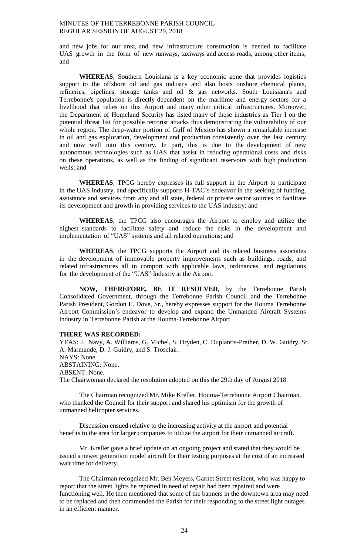and new jobs for our area, and new infrastructure construction is needed to facilitate UAS growth in the form of new runways, taxiways and access roads, among other items; and

**WHEREAS**, Southern Louisiana is a key economic zone that provides logistics support to the offshore oil and gas industry and also hosts onshore chemical plants, refineries, pipelines, storage tanks and oil & gas networks. South Louisiana's and Terrebonne's population is directly dependent on the maritime and energy sectors for a livelihood that relies on this Airport and many other critical infrastructures. Moreover, the Department of Homeland Security has listed many of these industries as Tier I on the potential threat list for possible terrorist attacks thus demonstrating the vulnerability of our whole region. The deep-water portion of Gulf of Mexico has shown a remarkable increase in oil and gas exploration, development and production consistently over the last century and now well into this century. In part, this is due to the development of new autonomous technologies such as UAS that assist in reducing operational costs and risks on these operations, as well as the finding of significant reservoirs with high production wells; and

**WHEREAS**, TPCG hereby expresses its full support in the Airport to participate in the UAS industry, and specifically supports H-TAC's endeavor in the seeking of funding, assistance and services from any and all state, federal or private sector sources to facilitate its development and growth in providing services to the UAS industry; and

**WHEREAS**, the TPCG also encourages the Airport to employ and utilize the highest standards to facilitate safety and reduce the risks in the development and implementation of "UAS" systems and all related operations; and

**WHEREAS**, the TPCG supports the Airport and its related business associates in the development of immovable property improvements such as buildings, roads, and related infrastructures all in comport with applicable laws, ordinances, and regulations for the development of the "UAS" Industry at the Airport.

**NOW, THEREFORE, BE IT RESOLVED**, by the Terrebonne Parish Consolidated Government, through the Terrebonne Parish Council and the Terrebonne Parish President, Gordon E. Dove, Sr., hereby expresses support for the Houma Terrebonne Airport Commission's endeavor to develop and expand the Unmanded Aircraft Systems industry in Terrebonne Parish at the Houma-Terrebonne Airport.

### **THERE WAS RECORDED:**

YEAS: J. Navy, A. Williams, G. Michel, S. Dryden, C. Duplantis-Prather, D. W. Guidry, Sr. A. Marmande, D. J. Guidry, and S. Trosclair. NAYS: None. ABSTAINING: None. ABSENT: None. The Chairwoman declared the resolution adopted on this the 29th day of August 2018.

The Chairman recognized Mr. Mike Kreller, Houma-Terrebonne Airport Chairman, who thanked the Council for their support and shared his optimism for the growth of unmanned helicopter services.

Discussion ensued relative to the increasing activity at the airport and potential benefits to the area for larger companies to utilize the airport for their unmanned aircraft.

Mr. Kreller gave a brief update on an ongoing project and stated that they would be issued a newer generation model aircraft for their testing purposes at the cost of an increased wait time for delivery.

The Chairman recognized Mr. Ben Meyers, Garnet Street resident, who was happy to report that the street lights he reported in need of repair had been repaired and were functioning well. He then mentioned that some of the banners in the downtown area may need to be replaced and then commended the Parish for their responding to the street light outages in an efficient manner.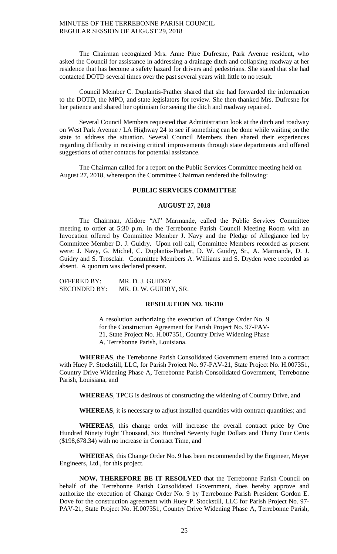The Chairman recognized Mrs. Anne Pitre Dufresne, Park Avenue resident, who asked the Council for assistance in addressing a drainage ditch and collapsing roadway at her residence that has become a safety hazard for drivers and pedestrians. She stated that she had contacted DOTD several times over the past several years with little to no result.

Council Member C. Duplantis-Prather shared that she had forwarded the information to the DOTD, the MPO, and state legislators for review. She then thanked Mrs. Dufresne for her patience and shared her optimism for seeing the ditch and roadway repaired.

Several Council Members requested that Administration look at the ditch and roadway on West Park Avenue / LA Highway 24 to see if something can be done while waiting on the state to address the situation. Several Council Members then shared their experiences regarding difficulty in receiving critical improvements through state departments and offered suggestions of other contacts for potential assistance.

The Chairman called for a report on the Public Services Committee meeting held on August 27, 2018, whereupon the Committee Chairman rendered the following:

# **PUBLIC SERVICES COMMITTEE**

## **AUGUST 27, 2018**

The Chairman, Alidore "Al" Marmande, called the Public Services Committee meeting to order at 5:30 p.m. in the Terrebonne Parish Council Meeting Room with an Invocation offered by Committee Member J. Navy and the Pledge of Allegiance led by Committee Member D. J. Guidry. Upon roll call, Committee Members recorded as present were: J. Navy, G. Michel, C. Duplantis-Prather, D. W. Guidry, Sr., A. Marmande, D. J. Guidry and S. Trosclair. Committee Members A. Williams and S. Dryden were recorded as absent. A quorum was declared present.

| <b>OFFERED BY:</b>  | MR. D. J. GUIDRY      |
|---------------------|-----------------------|
| <b>SECONDED BY:</b> | MR. D. W. GUIDRY, SR. |

### **RESOLUTION NO. 18-310**

A resolution authorizing the execution of Change Order No. 9 for the Construction Agreement for Parish Project No. 97-PAV-21, State Project No. H.007351, Country Drive Widening Phase A, Terrebonne Parish, Louisiana.

**WHEREAS**, the Terrebonne Parish Consolidated Government entered into a contract with Huey P. Stockstill, LLC, for Parish Project No. 97-PAV-21, State Project No. H.007351, Country Drive Widening Phase A, Terrebonne Parish Consolidated Government, Terrebonne Parish, Louisiana, and

**WHEREAS**, TPCG is desirous of constructing the widening of Country Drive, and

WHEREAS, it is necessary to adjust installed quantities with contract quantities; and

**WHEREAS**, this change order will increase the overall contract price by One Hundred Ninety Eight Thousand, Six Hundred Seventy Eight Dollars and Thirty Four Cents (\$198,678.34) with no increase in Contract Time, and

**WHEREAS**, this Change Order No. 9 has been recommended by the Engineer, Meyer Engineers, Ltd., for this project.

**NOW, THEREFORE BE IT RESOLVED** that the Terrebonne Parish Council on behalf of the Terrebonne Parish Consolidated Government, does hereby approve and authorize the execution of Change Order No. 9 by Terrebonne Parish President Gordon E. Dove for the construction agreement with Huey P. Stockstill, LLC for Parish Project No. 97- PAV-21, State Project No. H.007351, Country Drive Widening Phase A, Terrebonne Parish,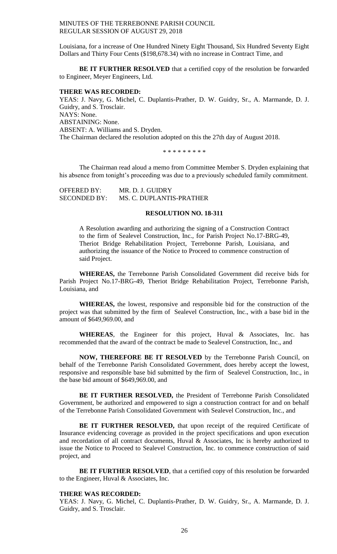Louisiana, for a increase of One Hundred Ninety Eight Thousand, Six Hundred Seventy Eight Dollars and Thirty Four Cents (\$198,678.34) with no increase in Contract Time, and

**BE IT FURTHER RESOLVED** that a certified copy of the resolution be forwarded to Engineer, Meyer Engineers, Ltd.

### **THERE WAS RECORDED:**

YEAS: J. Navy, G. Michel, C. Duplantis-Prather, D. W. Guidry, Sr., A. Marmande, D. J. Guidry, and S. Trosclair. NAYS: None. ABSTAINING: None. ABSENT: A. Williams and S. Dryden. The Chairman declared the resolution adopted on this the 27th day of August 2018.

\* \* \* \* \* \* \* \* \*

The Chairman read aloud a memo from Committee Member S. Dryden explaining that his absence from tonight's proceeding was due to a previously scheduled family commitment.

| <b>OFFERED BY:</b>  | MR. D. J. GUIDRY         |
|---------------------|--------------------------|
| <b>SECONDED BY:</b> | MS. C. DUPLANTIS-PRATHER |

# **RESOLUTION NO. 18-311**

A Resolution awarding and authorizing the signing of a Construction Contract to the firm of Sealevel Construction, Inc., for Parish Project No.17-BRG-49, Theriot Bridge Rehabilitation Project, Terrebonne Parish, Louisiana, and authorizing the issuance of the Notice to Proceed to commence construction of said Project.

**WHEREAS,** the Terrebonne Parish Consolidated Government did receive bids for Parish Project No.17-BRG-49, Theriot Bridge Rehabilitation Project, Terrebonne Parish, Louisiana, and

**WHEREAS,** the lowest, responsive and responsible bid for the construction of the project was that submitted by the firm of Sealevel Construction, Inc., with a base bid in the amount of \$649,969.00, and

**WHEREAS**, the Engineer for this project, Huval & Associates, Inc. has recommended that the award of the contract be made to Sealevel Construction, Inc., and

**NOW, THEREFORE BE IT RESOLVED** by the Terrebonne Parish Council, on behalf of the Terrebonne Parish Consolidated Government, does hereby accept the lowest, responsive and responsible base bid submitted by the firm of Sealevel Construction, Inc., in the base bid amount of \$649,969.00, and

**BE IT FURTHER RESOLVED,** the President of Terrebonne Parish Consolidated Government, be authorized and empowered to sign a construction contract for and on behalf of the Terrebonne Parish Consolidated Government with Sealevel Construction, Inc., and

BE IT FURTHER RESOLVED, that upon receipt of the required Certificate of Insurance evidencing coverage as provided in the project specifications and upon execution and recordation of all contract documents, Huval & Associates, Inc is hereby authorized to issue the Notice to Proceed to Sealevel Construction, Inc. to commence construction of said project, and

**BE IT FURTHER RESOLVED**, that a certified copy of this resolution be forwarded to the Engineer, Huval & Associates, Inc.

# **THERE WAS RECORDED:**

YEAS: J. Navy, G. Michel, C. Duplantis-Prather, D. W. Guidry, Sr., A. Marmande, D. J. Guidry, and S. Trosclair.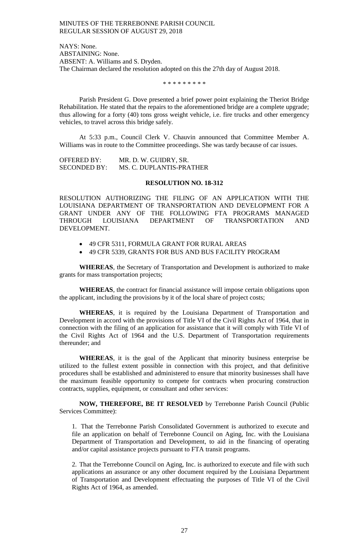NAYS: None. ABSTAINING: None. ABSENT: A. Williams and S. Dryden. The Chairman declared the resolution adopted on this the 27th day of August 2018.

\* \* \* \* \* \* \* \* \*

Parish President G. Dove presented a brief power point explaining the Theriot Bridge Rehabilitation. He stated that the repairs to the aforementioned bridge are a complete upgrade; thus allowing for a forty (40) tons gross weight vehicle, i.e. fire trucks and other emergency vehicles, to travel across this bridge safely.

At 5:33 p.m., Council Clerk V. Chauvin announced that Committee Member A. Williams was in route to the Committee proceedings. She was tardy because of car issues.

OFFERED BY: MR. D. W. GUIDRY, SR. SECONDED BY: MS. C. DUPLANTIS-PRATHER

## **RESOLUTION NO. 18-312**

RESOLUTION AUTHORIZING THE FILING OF AN APPLICATION WITH THE LOUISIANA DEPARTMENT OF TRANSPORTATION AND DEVELOPMENT FOR A GRANT UNDER ANY OF THE FOLLOWING FTA PROGRAMS MANAGED<br>THROUGH LOUISIANA DEPARTMENT OF TRANSPORTATION AND THROUGH LOUISIANA DEPARTMENT OF TRANSPORTATION AND DEVELOPMENT.

- 49 CFR 5311, FORMULA GRANT FOR RURAL AREAS
- 49 CFR 5339, GRANTS FOR BUS AND BUS FACILITY PROGRAM

**WHEREAS**, the Secretary of Transportation and Development is authorized to make grants for mass transportation projects;

**WHEREAS**, the contract for financial assistance will impose certain obligations upon the applicant, including the provisions by it of the local share of project costs;

**WHEREAS**, it is required by the Louisiana Department of Transportation and Development in accord with the provisions of Title VI of the Civil Rights Act of 1964, that in connection with the filing of an application for assistance that it will comply with Title VI of the Civil Rights Act of 1964 and the U.S. Department of Transportation requirements thereunder; and

**WHEREAS**, it is the goal of the Applicant that minority business enterprise be utilized to the fullest extent possible in connection with this project, and that definitive procedures shall be established and administered to ensure that minority businesses shall have the maximum feasible opportunity to compete for contracts when procuring construction contracts, supplies, equipment, or consultant and other services:

**NOW, THEREFORE, BE IT RESOLVED** by Terrebonne Parish Council (Public Services Committee):

1. That the Terrebonne Parish Consolidated Government is authorized to execute and file an application on behalf of Terrebonne Council on Aging, Inc. with the Louisiana Department of Transportation and Development, to aid in the financing of operating and/or capital assistance projects pursuant to FTA transit programs.

2. That the Terrebonne Council on Aging, Inc. is authorized to execute and file with such applications an assurance or any other document required by the Louisiana Department of Transportation and Development effectuating the purposes of Title VI of the Civil Rights Act of 1964, as amended.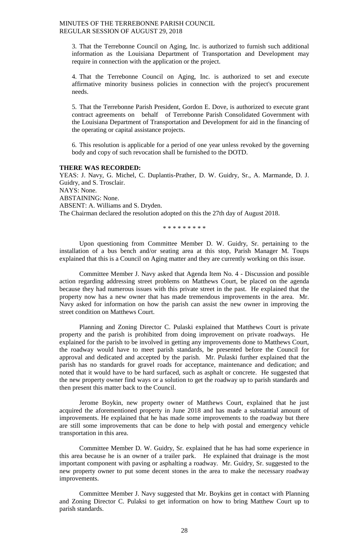3. That the Terrebonne Council on Aging, Inc. is authorized to furnish such additional information as the Louisiana Department of Transportation and Development may require in connection with the application or the project.

4. That the Terrebonne Council on Aging, Inc. is authorized to set and execute affirmative minority business policies in connection with the project's procurement needs.

5. That the Terrebonne Parish President, Gordon E. Dove, is authorized to execute grant contract agreements on behalf of Terrebonne Parish Consolidated Government with the Louisiana Department of Transportation and Development for aid in the financing of the operating or capital assistance projects.

6. This resolution is applicable for a period of one year unless revoked by the governing body and copy of such revocation shall be furnished to the DOTD.

#### **THERE WAS RECORDED:**

YEAS: J. Navy, G. Michel, C. Duplantis-Prather, D. W. Guidry, Sr., A. Marmande, D. J. Guidry, and S. Trosclair. NAYS: None. ABSTAINING: None. ABSENT: A. Williams and S. Dryden. The Chairman declared the resolution adopted on this the 27th day of August 2018.

\* \* \* \* \* \* \* \* \*

Upon questioning from Committee Member D. W. Guidry, Sr. pertaining to the installation of a bus bench and/or seating area at this stop, Parish Manager M. Toups explained that this is a Council on Aging matter and they are currently working on this issue.

Committee Member J. Navy asked that Agenda Item No. 4 - Discussion and possible action regarding addressing street problems on Matthews Court, be placed on the agenda because they had numerous issues with this private street in the past. He explained that the property now has a new owner that has made tremendous improvements in the area. Mr. Navy asked for information on how the parish can assist the new owner in improving the street condition on Matthews Court.

Planning and Zoning Director C. Pulaski explained that Matthews Court is private property and the parish is prohibited from doing improvement on private roadways. He explained for the parish to be involved in getting any improvements done to Matthews Court, the roadway would have to meet parish standards, be presented before the Council for approval and dedicated and accepted by the parish. Mr. Pulaski further explained that the parish has no standards for gravel roads for acceptance, maintenance and dedication; and noted that it would have to be hard surfaced, such as asphalt or concrete. He suggested that the new property owner find ways or a solution to get the roadway up to parish standards and then present this matter back to the Council.

Jerome Boykin, new property owner of Matthews Court, explained that he just acquired the aforementioned property in June 2018 and has made a substantial amount of improvements. He explained that he has made some improvements to the roadway but there are still some improvements that can be done to help with postal and emergency vehicle transportation in this area.

Committee Member D. W. Guidry, Sr. explained that he has had some experience in this area because he is an owner of a trailer park. He explained that drainage is the most important component with paving or asphalting a roadway. Mr. Guidry, Sr. suggested to the new property owner to put some decent stones in the area to make the necessary roadway improvements.

Committee Member J. Navy suggested that Mr. Boykins get in contact with Planning and Zoning Director C. Pulaksi to get information on how to bring Matthew Court up to parish standards.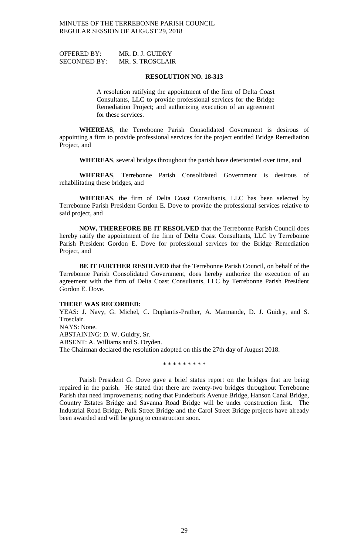OFFERED BY: MR. D. J. GUIDRY SECONDED BY: MR. S. TROSCLAIR

### **RESOLUTION NO. 18-313**

A resolution ratifying the appointment of the firm of Delta Coast Consultants, LLC to provide professional services for the Bridge Remediation Project; and authorizing execution of an agreement for these services.

**WHEREAS**, the Terrebonne Parish Consolidated Government is desirous of appointing a firm to provide professional services for the project entitled Bridge Remediation Project, and

**WHEREAS**, several bridges throughout the parish have deteriorated over time, and

**WHEREAS**, Terrebonne Parish Consolidated Government is desirous of rehabilitating these bridges, and

**WHEREAS**, the firm of Delta Coast Consultants, LLC has been selected by Terrebonne Parish President Gordon E. Dove to provide the professional services relative to said project, and

**NOW, THEREFORE BE IT RESOLVED** that the Terrebonne Parish Council does hereby ratify the appointment of the firm of Delta Coast Consultants, LLC by Terrebonne Parish President Gordon E. Dove for professional services for the Bridge Remediation Project, and

**BE IT FURTHER RESOLVED** that the Terrebonne Parish Council, on behalf of the Terrebonne Parish Consolidated Government, does hereby authorize the execution of an agreement with the firm of Delta Coast Consultants, LLC by Terrebonne Parish President Gordon E. Dove.

#### **THERE WAS RECORDED:**

YEAS: J. Navy, G. Michel, C. Duplantis-Prather, A. Marmande, D. J. Guidry, and S. Trosclair.

NAYS: None. ABSTAINING: D. W. Guidry, Sr. ABSENT: A. Williams and S. Dryden. The Chairman declared the resolution adopted on this the 27th day of August 2018.

\* \* \* \* \* \* \* \* \*

Parish President G. Dove gave a brief status report on the bridges that are being repaired in the parish. He stated that there are twenty-two bridges throughout Terrebonne Parish that need improvements; noting that Funderburk Avenue Bridge, Hanson Canal Bridge, Country Estates Bridge and Savanna Road Bridge will be under construction first. The Industrial Road Bridge, Polk Street Bridge and the Carol Street Bridge projects have already been awarded and will be going to construction soon.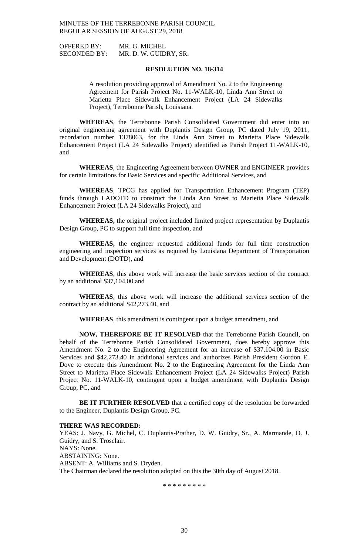OFFERED BY: MR. G. MICHEL

SECONDED BY: MR. D. W. GUIDRY, SR.

## **RESOLUTION NO. 18-314**

A resolution providing approval of Amendment No. 2 to the Engineering Agreement for Parish Project No. 11-WALK-10, Linda Ann Street to Marietta Place Sidewalk Enhancement Project (LA 24 Sidewalks Project), Terrebonne Parish, Louisiana.

**WHEREAS**, the Terrebonne Parish Consolidated Government did enter into an original engineering agreement with Duplantis Design Group, PC dated July 19, 2011, recordation number 1378063, for the Linda Ann Street to Marietta Place Sidewalk Enhancement Project (LA 24 Sidewalks Project) identified as Parish Project 11-WALK-10, and

**WHEREAS**, the Engineering Agreement between OWNER and ENGINEER provides for certain limitations for Basic Services and specific Additional Services, and

**WHEREAS**, TPCG has applied for Transportation Enhancement Program (TEP) funds through LADOTD to construct the Linda Ann Street to Marietta Place Sidewalk Enhancement Project (LA 24 Sidewalks Project), and

**WHEREAS,** the original project included limited project representation by Duplantis Design Group, PC to support full time inspection, and

**WHEREAS,** the engineer requested additional funds for full time construction engineering and inspection services as required by Louisiana Department of Transportation and Development (DOTD), and

**WHEREAS**, this above work will increase the basic services section of the contract by an additional \$37,104.00 and

**WHEREAS**, this above work will increase the additional services section of the contract by an additional \$42,273.40, and

**WHEREAS**, this amendment is contingent upon a budget amendment, and

**NOW, THEREFORE BE IT RESOLVED** that the Terrebonne Parish Council, on behalf of the Terrebonne Parish Consolidated Government, does hereby approve this Amendment No. 2 to the Engineering Agreement for an increase of \$37,104.00 in Basic Services and \$42,273.40 in additional services and authorizes Parish President Gordon E. Dove to execute this Amendment No. 2 to the Engineering Agreement for the Linda Ann Street to Marietta Place Sidewalk Enhancement Project (LA 24 Sidewalks Project) Parish Project No. 11-WALK-10, contingent upon a budget amendment with Duplantis Design Group, PC, and

**BE IT FURTHER RESOLVED** that a certified copy of the resolution be forwarded to the Engineer, Duplantis Design Group, PC.

### **THERE WAS RECORDED:**

YEAS: J. Navy, G. Michel, C. Duplantis-Prather, D. W. Guidry, Sr., A. Marmande, D. J. Guidry, and S. Trosclair. NAYS: None. ABSTAINING: None. ABSENT: A. Williams and S. Dryden. The Chairman declared the resolution adopted on this the 30th day of August 2018.

\* \* \* \* \* \* \* \* \*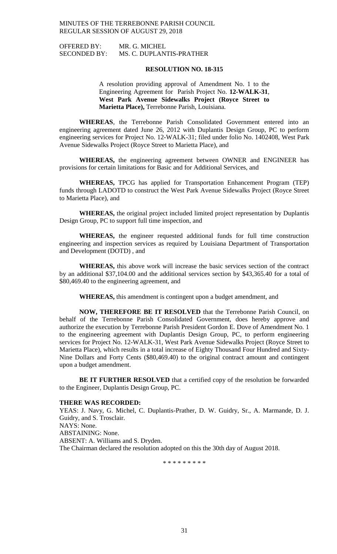OFFERED BY: MR. G. MICHEL SECONDED BY: MS. C. DUPLANTIS-PRATHER

### **RESOLUTION NO. 18-315**

A resolution providing approval of Amendment No. 1 to the Engineering Agreement for Parish Project No. **12-WALK-31**, **West Park Avenue Sidewalks Project (Royce Street to Marietta Place),** Terrebonne Parish, Louisiana.

**WHEREAS**, the Terrebonne Parish Consolidated Government entered into an engineering agreement dated June 26, 2012 with Duplantis Design Group, PC to perform engineering services for Project No. 12-WALK-31; filed under folio No. 1402408, West Park Avenue Sidewalks Project (Royce Street to Marietta Place), and

**WHEREAS,** the engineering agreement between OWNER and ENGINEER has provisions for certain limitations for Basic and for Additional Services, and

**WHEREAS,** TPCG has applied for Transportation Enhancement Program (TEP) funds through LADOTD to construct the West Park Avenue Sidewalks Project (Royce Street to Marietta Place), and

**WHEREAS,** the original project included limited project representation by Duplantis Design Group, PC to support full time inspection, and

**WHEREAS,** the engineer requested additional funds for full time construction engineering and inspection services as required by Louisiana Department of Transportation and Development (DOTD) , and

**WHEREAS,** this above work will increase the basic services section of the contract by an additional \$37,104.00 and the additional services section by \$43,365.40 for a total of \$80,469.40 to the engineering agreement, and

**WHEREAS,** this amendment is contingent upon a budget amendment, and

**NOW, THEREFORE BE IT RESOLVED** that the Terrebonne Parish Council, on behalf of the Terrebonne Parish Consolidated Government, does hereby approve and authorize the execution by Terrebonne Parish President Gordon E. Dove of Amendment No. 1 to the engineering agreement with Duplantis Design Group, PC, to perform engineering services for Project No. 12-WALK-31, West Park Avenue Sidewalks Project (Royce Street to Marietta Place), which results in a total increase of Eighty Thousand Four Hundred and Sixty-Nine Dollars and Forty Cents (\$80,469.40) to the original contract amount and contingent upon a budget amendment.

**BE IT FURTHER RESOLVED** that a certified copy of the resolution be forwarded to the Engineer, Duplantis Design Group, PC.

### **THERE WAS RECORDED:**

YEAS: J. Navy, G. Michel, C. Duplantis-Prather, D. W. Guidry, Sr., A. Marmande, D. J. Guidry, and S. Trosclair. NAYS: None. ABSTAINING: None. ABSENT: A. Williams and S. Dryden. The Chairman declared the resolution adopted on this the 30th day of August 2018.

\* \* \* \* \* \* \* \* \*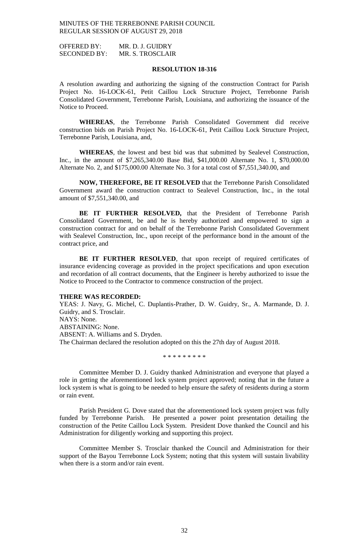OFFERED BY: MR. D. J. GUIDRY SECONDED BY: MR. S. TROSCLAIR

### **RESOLUTION 18-316**

A resolution awarding and authorizing the signing of the construction Contract for Parish Project No. 16-LOCK-61, Petit Caillou Lock Structure Project, Terrebonne Parish Consolidated Government, Terrebonne Parish, Louisiana, and authorizing the issuance of the Notice to Proceed.

**WHEREAS**, the Terrebonne Parish Consolidated Government did receive construction bids on Parish Project No. 16-LOCK-61, Petit Caillou Lock Structure Project, Terrebonne Parish, Louisiana, and,

**WHEREAS**, the lowest and best bid was that submitted by Sealevel Construction, Inc., in the amount of \$7,265,340.00 Base Bid, \$41,000.00 Alternate No. 1, \$70,000.00 Alternate No. 2, and \$175,000.00 Alternate No. 3 for a total cost of \$7,551,340.00, and

**NOW, THEREFORE, BE IT RESOLVED** that the Terrebonne Parish Consolidated Government award the construction contract to Sealevel Construction, Inc., in the total amount of \$7,551,340.00, and

**BE IT FURTHER RESOLVED,** that the President of Terrebonne Parish Consolidated Government, be and he is hereby authorized and empowered to sign a construction contract for and on behalf of the Terrebonne Parish Consolidated Government with Sealevel Construction, Inc., upon receipt of the performance bond in the amount of the contract price, and

BE IT FURTHER RESOLVED, that upon receipt of required certificates of insurance evidencing coverage as provided in the project specifications and upon execution and recordation of all contract documents, that the Engineer is hereby authorized to issue the Notice to Proceed to the Contractor to commence construction of the project.

# **THERE WAS RECORDED:**

YEAS: J. Navy, G. Michel, C. Duplantis-Prather, D. W. Guidry, Sr., A. Marmande, D. J. Guidry, and S. Trosclair. NAYS: None. ABSTAINING: None. ABSENT: A. Williams and S. Dryden. The Chairman declared the resolution adopted on this the 27th day of August 2018.

Committee Member D. J. Guidry thanked Administration and everyone that played a role in getting the aforementioned lock system project approved; noting that in the future a lock system is what is going to be needed to help ensure the safety of residents during a storm or rain event.

\* \* \* \* \* \* \* \* \*

Parish President G. Dove stated that the aforementioned lock system project was fully funded by Terrebonne Parish. He presented a power point presentation detailing the construction of the Petite Caillou Lock System. President Dove thanked the Council and his Administration for diligently working and supporting this project.

Committee Member S. Trosclair thanked the Council and Administration for their support of the Bayou Terrebonne Lock System; noting that this system will sustain livability when there is a storm and/or rain event.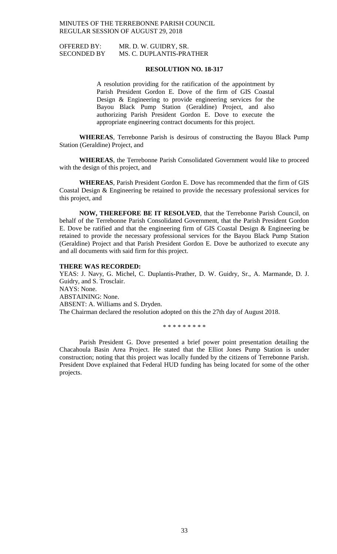OFFERED BY: MR. D. W. GUIDRY, SR. SECONDED BY MS. C. DUPLANTIS-PRATHER

## **RESOLUTION NO. 18-317**

A resolution providing for the ratification of the appointment by Parish President Gordon E. Dove of the firm of GIS Coastal Design & Engineering to provide engineering services for the Bayou Black Pump Station (Geraldine) Project, and also authorizing Parish President Gordon E. Dove to execute the appropriate engineering contract documents for this project.

**WHEREAS**, Terrebonne Parish is desirous of constructing the Bayou Black Pump Station (Geraldine) Project, and

**WHEREAS**, the Terrebonne Parish Consolidated Government would like to proceed with the design of this project, and

**WHEREAS**, Parish President Gordon E. Dove has recommended that the firm of GIS Coastal Design & Engineering be retained to provide the necessary professional services for this project, and

**NOW, THEREFORE BE IT RESOLVED**, that the Terrebonne Parish Council, on behalf of the Terrebonne Parish Consolidated Government, that the Parish President Gordon E. Dove be ratified and that the engineering firm of GIS Coastal Design & Engineering be retained to provide the necessary professional services for the Bayou Black Pump Station (Geraldine) Project and that Parish President Gordon E. Dove be authorized to execute any and all documents with said firm for this project.

### **THERE WAS RECORDED:**

YEAS: J. Navy, G. Michel, C. Duplantis-Prather, D. W. Guidry, Sr., A. Marmande, D. J. Guidry, and S. Trosclair. NAYS: None. ABSTAINING: None. ABSENT: A. Williams and S. Dryden. The Chairman declared the resolution adopted on this the 27th day of August 2018.

\* \* \* \* \* \* \* \* \*

Parish President G. Dove presented a brief power point presentation detailing the Chacahoula Basin Area Project. He stated that the Elliot Jones Pump Station is under construction; noting that this project was locally funded by the citizens of Terrebonne Parish. President Dove explained that Federal HUD funding has being located for some of the other projects.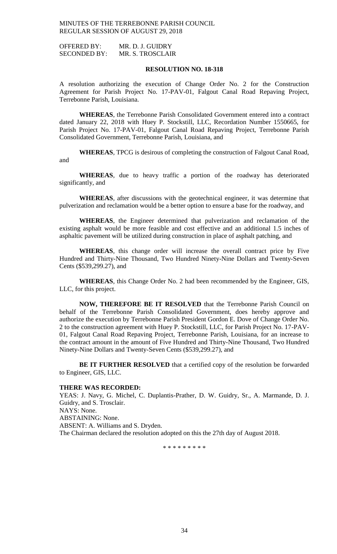OFFERED BY: MR. D. J. GUIDRY SECONDED BY: MR. S. TROSCLAIR

## **RESOLUTION NO. 18-318**

A resolution authorizing the execution of Change Order No. 2 for the Construction Agreement for Parish Project No. 17-PAV-01, Falgout Canal Road Repaving Project, Terrebonne Parish, Louisiana.

**WHEREAS**, the Terrebonne Parish Consolidated Government entered into a contract dated January 22, 2018 with Huey P. Stockstill, LLC, Recordation Number 1550665, for Parish Project No. 17-PAV-01, Falgout Canal Road Repaving Project, Terrebonne Parish Consolidated Government, Terrebonne Parish, Louisiana, and

**WHEREAS**, TPCG is desirous of completing the construction of Falgout Canal Road, and

**WHEREAS**, due to heavy traffic a portion of the roadway has deteriorated significantly, and

**WHEREAS**, after discussions with the geotechnical engineer, it was determine that pulverization and reclamation would be a better option to ensure a base for the roadway, and

**WHEREAS**, the Engineer determined that pulverization and reclamation of the existing asphalt would be more feasible and cost effective and an additional 1.5 inches of asphaltic pavement will be utilized during construction in place of asphalt patching, and

**WHEREAS**, this change order will increase the overall contract price by Five Hundred and Thirty-Nine Thousand, Two Hundred Ninety-Nine Dollars and Twenty-Seven Cents (\$539,299.27), and

**WHEREAS**, this Change Order No. 2 had been recommended by the Engineer, GIS, LLC, for this project.

**NOW, THEREFORE BE IT RESOLVED** that the Terrebonne Parish Council on behalf of the Terrebonne Parish Consolidated Government, does hereby approve and authorize the execution by Terrebonne Parish President Gordon E. Dove of Change Order No. 2 to the construction agreement with Huey P. Stockstill, LLC, for Parish Project No. 17-PAV-01, Falgout Canal Road Repaving Project, Terrebonne Parish, Louisiana, for an increase to the contract amount in the amount of Five Hundred and Thirty-Nine Thousand, Two Hundred Ninety-Nine Dollars and Twenty-Seven Cents (\$539,299.27), and

**BE IT FURTHER RESOLVED** that a certified copy of the resolution be forwarded to Engineer, GIS, LLC.

#### **THERE WAS RECORDED:**

YEAS: J. Navy, G. Michel, C. Duplantis-Prather, D. W. Guidry, Sr., A. Marmande, D. J. Guidry, and S. Trosclair. NAYS: None. ABSTAINING: None. ABSENT: A. Williams and S. Dryden. The Chairman declared the resolution adopted on this the 27th day of August 2018.

\* \* \* \* \* \* \* \* \*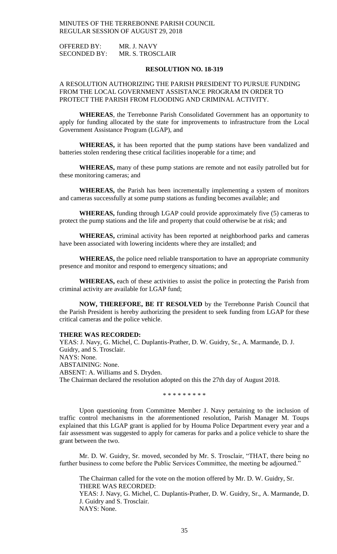OFFERED BY: MR. J. NAVY SECONDED BY: MR. S. TROSCLAIR

## **RESOLUTION NO. 18-319**

# A RESOLUTION AUTHORIZING THE PARISH PRESIDENT TO PURSUE FUNDING FROM THE LOCAL GOVERNMENT ASSISTANCE PROGRAM IN ORDER TO PROTECT THE PARISH FROM FLOODING AND CRIMINAL ACTIVITY.

**WHEREAS**, the Terrebonne Parish Consolidated Government has an opportunity to apply for funding allocated by the state for improvements to infrastructure from the Local Government Assistance Program (LGAP), and

**WHEREAS,** it has been reported that the pump stations have been vandalized and batteries stolen rendering these critical facilities inoperable for a time; and

**WHEREAS,** many of these pump stations are remote and not easily patrolled but for these monitoring cameras; and

**WHEREAS,** the Parish has been incrementally implementing a system of monitors and cameras successfully at some pump stations as funding becomes available; and

**WHEREAS,** funding through LGAP could provide approximately five (5) cameras to protect the pump stations and the life and property that could otherwise be at risk; and

**WHEREAS,** criminal activity has been reported at neighborhood parks and cameras have been associated with lowering incidents where they are installed; and

**WHEREAS,** the police need reliable transportation to have an appropriate community presence and monitor and respond to emergency situations; and

**WHEREAS,** each of these activities to assist the police in protecting the Parish from criminal activity are available for LGAP fund;

**NOW, THEREFORE, BE IT RESOLVED** by the Terrebonne Parish Council that the Parish President is hereby authorizing the president to seek funding from LGAP for these critical cameras and the police vehicle.

### **THERE WAS RECORDED:**

YEAS: J. Navy, G. Michel, C. Duplantis-Prather, D. W. Guidry, Sr., A. Marmande, D. J. Guidry, and S. Trosclair. NAYS: None. ABSTAINING: None. ABSENT: A. Williams and S. Dryden. The Chairman declared the resolution adopted on this the 27th day of August 2018.

\* \* \* \* \* \* \* \* \*

Upon questioning from Committee Member J. Navy pertaining to the inclusion of traffic control mechanisms in the aforementioned resolution, Parish Manager M. Toups explained that this LGAP grant is applied for by Houma Police Department every year and a fair assessment was suggested to apply for cameras for parks and a police vehicle to share the grant between the two.

Mr. D. W. Guidry, Sr. moved, seconded by Mr. S. Trosclair, "THAT, there being no further business to come before the Public Services Committee, the meeting be adjourned."

The Chairman called for the vote on the motion offered by Mr. D. W. Guidry, Sr. THERE WAS RECORDED: YEAS: J. Navy, G. Michel, C. Duplantis-Prather, D. W. Guidry, Sr., A. Marmande, D. J. Guidry and S. Trosclair. NAYS: None.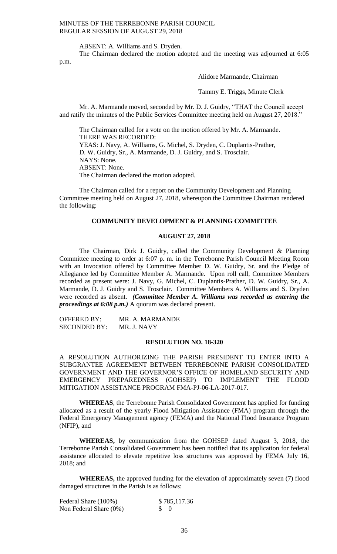ABSENT: A. Williams and S. Dryden.

The Chairman declared the motion adopted and the meeting was adjourned at 6:05 p.m.

Alidore Marmande, Chairman

Tammy E. Triggs, Minute Clerk

Mr. A. Marmande moved, seconded by Mr. D. J. Guidry, "THAT the Council accept and ratify the minutes of the Public Services Committee meeting held on August 27, 2018."

The Chairman called for a vote on the motion offered by Mr. A. Marmande. THERE WAS RECORDED: YEAS: J. Navy, A. Williams, G. Michel, S. Dryden, C. Duplantis-Prather, D. W. Guidry, Sr., A. Marmande, D. J. Guidry, and S. Trosclair. NAYS: None. ABSENT: None. The Chairman declared the motion adopted.

The Chairman called for a report on the Community Development and Planning Committee meeting held on August 27, 2018, whereupon the Committee Chairman rendered the following:

# **COMMUNITY DEVELOPMENT & PLANNING COMMITTEE**

### **AUGUST 27, 2018**

The Chairman, Dirk J. Guidry, called the Community Development & Planning Committee meeting to order at 6:07 p. m. in the Terrebonne Parish Council Meeting Room with an Invocation offered by Committee Member D. W. Guidry, Sr. and the Pledge of Allegiance led by Committee Member A. Marmande. Upon roll call, Committee Members recorded as present were: J. Navy, G. Michel, C. Duplantis-Prather, D. W. Guidry, Sr., A. Marmande, D. J. Guidry and S. Trosclair. Committee Members A. Williams and S. Dryden were recorded as absent. *(Committee Member A. Williams was recorded as entering the proceedings at 6:08 p.m.)* A quorum was declared present.

| <b>OFFERED BY:</b>  | MR. A. MARMANDE |
|---------------------|-----------------|
| <b>SECONDED BY:</b> | MR. J. NAVY     |

## **RESOLUTION NO. 18-320**

A RESOLUTION AUTHORIZING THE PARISH PRESIDENT TO ENTER INTO A SUBGRANTEE AGREEMENT BETWEEN TERREBONNE PARISH CONSOLIDATED GOVERNMENT AND THE GOVERNOR'S OFFICE OF HOMELAND SECURITY AND EMERGENCY PREPAREDNESS (GOHSEP) TO IMPLEMENT THE FLOOD MITIGATION ASSISTANCE PROGRAM FMA-PJ-06-LA-2017-017.

**WHEREAS**, the Terrebonne Parish Consolidated Government has applied for funding allocated as a result of the yearly Flood Mitigation Assistance (FMA) program through the Federal Emergency Management agency (FEMA) and the National Flood Insurance Program (NFIP), and

**WHEREAS,** by communication from the GOHSEP dated August 3, 2018, the Terrebonne Parish Consolidated Government has been notified that its application for federal assistance allocated to elevate repetitive loss structures was approved by FEMA July 16, 2018; and

**WHEREAS,** the approved funding for the elevation of approximately seven (7) flood damaged structures in the Parish is as follows:

| Federal Share (100%)      |                 | \$785,117.36 |
|---------------------------|-----------------|--------------|
| Non Federal Share $(0\%)$ | $\mathcal{S}$ 0 |              |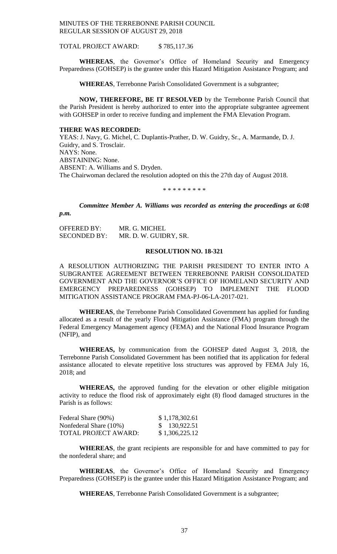TOTAL PROJECT AWARD: \$ 785,117.36

**WHEREAS**, the Governor's Office of Homeland Security and Emergency Preparedness (GOHSEP) is the grantee under this Hazard Mitigation Assistance Program; and

**WHEREAS**, Terrebonne Parish Consolidated Government is a subgrantee;

**NOW, THEREFORE, BE IT RESOLVED** by the Terrebonne Parish Council that the Parish President is hereby authorized to enter into the appropriate subgrantee agreement with GOHSEP in order to receive funding and implement the FMA Elevation Program.

#### **THERE WAS RECORDED:**

YEAS: J. Navy, G. Michel, C. Duplantis-Prather, D. W. Guidry, Sr., A. Marmande, D. J. Guidry, and S. Trosclair. NAYS: None. ABSTAINING: None. ABSENT: A. Williams and S. Dryden. The Chairwoman declared the resolution adopted on this the 27th day of August 2018.

\* \* \* \* \* \* \* \* \*

*Committee Member A. Williams was recorded as entering the proceedings at 6:08 p.m.*

OFFERED BY: MR. G. MICHEL SECONDED BY: MR. D. W. GUIDRY, SR.

#### **RESOLUTION NO. 18-321**

A RESOLUTION AUTHORIZING THE PARISH PRESIDENT TO ENTER INTO A SUBGRANTEE AGREEMENT BETWEEN TERREBONNE PARISH CONSOLIDATED GOVERNMENT AND THE GOVERNOR'S OFFICE OF HOMELAND SECURITY AND EMERGENCY PREPAREDNESS (GOHSEP) TO IMPLEMENT THE FLOOD MITIGATION ASSISTANCE PROGRAM FMA-PJ-06-LA-2017-021.

**WHEREAS**, the Terrebonne Parish Consolidated Government has applied for funding allocated as a result of the yearly Flood Mitigation Assistance (FMA) program through the Federal Emergency Management agency (FEMA) and the National Flood Insurance Program (NFIP), and

**WHEREAS,** by communication from the GOHSEP dated August 3, 2018, the Terrebonne Parish Consolidated Government has been notified that its application for federal assistance allocated to elevate repetitive loss structures was approved by FEMA July 16, 2018; and

**WHEREAS,** the approved funding for the elevation or other eligible mitigation activity to reduce the flood risk of approximately eight (8) flood damaged structures in the Parish is as follows:

| Federal Share (90%)    | \$1,178,302.61 |
|------------------------|----------------|
| Nonfederal Share (10%) | \$130,922.51   |
| TOTAL PROJECT AWARD:   | \$1,306,225.12 |

**WHEREAS**, the grant recipients are responsible for and have committed to pay for the nonfederal share; and

**WHEREAS**, the Governor's Office of Homeland Security and Emergency Preparedness (GOHSEP) is the grantee under this Hazard Mitigation Assistance Program; and

**WHEREAS**, Terrebonne Parish Consolidated Government is a subgrantee;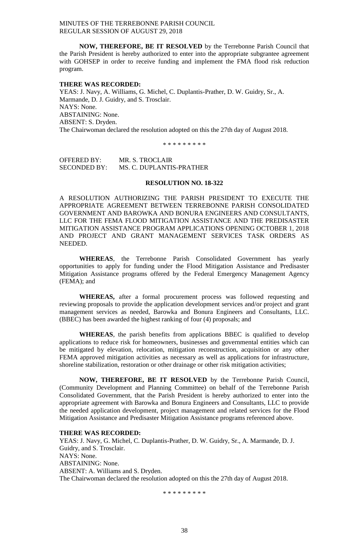**NOW, THEREFORE, BE IT RESOLVED** by the Terrebonne Parish Council that the Parish President is hereby authorized to enter into the appropriate subgrantee agreement with GOHSEP in order to receive funding and implement the FMA flood risk reduction program.

#### **THERE WAS RECORDED:**

YEAS: J. Navy, A. Williams, G. Michel, C. Duplantis-Prather, D. W. Guidry, Sr., A. Marmande, D. J. Guidry, and S. Trosclair. NAYS: None. ABSTAINING: None. ABSENT: S. Dryden. The Chairwoman declared the resolution adopted on this the 27th day of August 2018.

\* \* \* \* \* \* \* \* \*

OFFERED BY: MR. S. TROCLAIR SECONDED BY: MS. C. DUPLANTIS-PRATHER

## **RESOLUTION NO. 18-322**

A RESOLUTION AUTHORIZING THE PARISH PRESIDENT TO EXECUTE THE APPROPRIATE AGREEMENT BETWEEN TERREBONNE PARISH CONSOLIDATED GOVERNMENT AND BAROWKA AND BONURA ENGINEERS AND CONSULTANTS, LLC FOR THE FEMA FLOOD MITIGATION ASSISTANCE AND THE PREDISASTER MITIGATION ASSISTANCE PROGRAM APPLICATIONS OPENING OCTOBER 1, 2018 AND PROJECT AND GRANT MANAGEMENT SERVICES TASK ORDERS AS NEEDED.

**WHEREAS**, the Terrebonne Parish Consolidated Government has yearly opportunities to apply for funding under the Flood Mitigation Assistance and Predisaster Mitigation Assistance programs offered by the Federal Emergency Management Agency (FEMA); and

**WHEREAS,** after a formal procurement process was followed requesting and reviewing proposals to provide the application development services and/or project and grant management services as needed, Barowka and Bonura Engineers and Consultants, LLC. (BBEC) has been awarded the highest ranking of four (4) proposals; and

**WHEREAS**, the parish benefits from applications BBEC is qualified to develop applications to reduce risk for homeowners, businesses and governmental entities which can be mitigated by elevation, relocation, mitigation reconstruction, acquisition or any other FEMA approved mitigation activities as necessary as well as applications for infrastructure, shoreline stabilization, restoration or other drainage or other risk mitigation activities;

**NOW, THEREFORE, BE IT RESOLVED** by the Terrebonne Parish Council, (Community Development and Planning Committee) on behalf of the Terrebonne Parish Consolidated Government, that the Parish President is hereby authorized to enter into the appropriate agreement with Barowka and Bonura Engineers and Consultants, LLC to provide the needed application development, project management and related services for the Flood Mitigation Assistance and Predisaster Mitigation Assistance programs referenced above.

### **THERE WAS RECORDED:**

YEAS: J. Navy, G. Michel, C. Duplantis-Prather, D. W. Guidry, Sr., A. Marmande, D. J. Guidry, and S. Trosclair. NAYS: None. ABSTAINING: None. ABSENT: A. Williams and S. Dryden. The Chairwoman declared the resolution adopted on this the 27th day of August 2018.

\* \* \* \* \* \* \* \* \*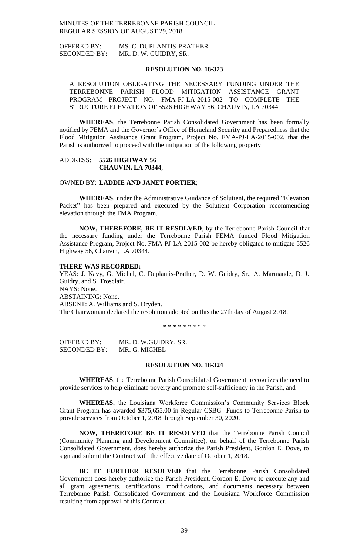OFFERED BY: MS. C. DUPLANTIS-PRATHER SECONDED BY: MR. D. W. GUIDRY, SR.

### **RESOLUTION NO. 18-323**

A RESOLUTION OBLIGATING THE NECESSARY FUNDING UNDER THE TERREBONNE PARISH FLOOD MITIGATION ASSISTANCE GRANT PROGRAM PROJECT NO. FMA-PJ-LA-2015-002 TO COMPLETE THE STRUCTURE ELEVATION OF 5526 HIGHWAY 56, CHAUVIN, LA 70344

**WHEREAS**, the Terrebonne Parish Consolidated Government has been formally notified by FEMA and the Governor's Office of Homeland Security and Preparedness that the Flood Mitigation Assistance Grant Program, Project No. FMA-PJ-LA-2015-002, that the Parish is authorized to proceed with the mitigation of the following property:

ADDRESS: **5526 HIGHWAY 56 CHAUVIN, LA 70344**;

## OWNED BY: **LADDIE AND JANET PORTIER**;

**WHEREAS**, under the Administrative Guidance of Solutient, the required "Elevation Packet" has been prepared and executed by the Solutient Corporation recommending elevation through the FMA Program.

**NOW, THEREFORE, BE IT RESOLVED**, by the Terrebonne Parish Council that the necessary funding under the Terrebonne Parish FEMA funded Flood Mitigation Assistance Program, Project No. FMA-PJ-LA-2015-002 be hereby obligated to mitigate 5526 Highway 56, Chauvin, LA 70344.

# **THERE WAS RECORDED:**

YEAS: J. Navy, G. Michel, C. Duplantis-Prather, D. W. Guidry, Sr., A. Marmande, D. J. Guidry, and S. Trosclair. NAYS: None. ABSTAINING: None. ABSENT: A. Williams and S. Dryden. The Chairwoman declared the resolution adopted on this the 27th day of August 2018.

\* \* \* \* \* \* \* \* \*

OFFERED BY: MR. D. W.GUIDRY, SR. SECONDED BY: MR. G. MICHEL

### **RESOLUTION NO. 18-324**

**WHEREAS**, the Terrebonne Parish Consolidated Government recognizes the need to provide services to help eliminate poverty and promote self-sufficiency in the Parish, and

**WHEREAS**, the Louisiana Workforce Commission's Community Services Block Grant Program has awarded \$375,655.00 in Regular CSBG Funds to Terrebonne Parish to provide services from October 1, 2018 through September 30, 2020.

**NOW, THEREFORE BE IT RESOLVED** that the Terrebonne Parish Council (Community Planning and Development Committee), on behalf of the Terrebonne Parish Consolidated Government, does hereby authorize the Parish President, Gordon E. Dove, to sign and submit the Contract with the effective date of October 1, 2018.

**BE IT FURTHER RESOLVED** that the Terrebonne Parish Consolidated Government does hereby authorize the Parish President, Gordon E. Dove to execute any and all grant agreements, certifications, modifications, and documents necessary between Terrebonne Parish Consolidated Government and the Louisiana Workforce Commission resulting from approval of this Contract.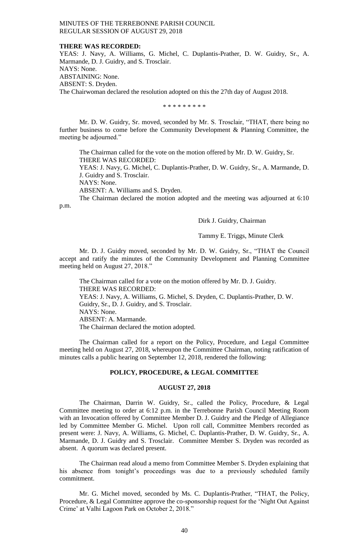### **THERE WAS RECORDED:**

YEAS: J. Navy, A. Williams, G. Michel, C. Duplantis-Prather, D. W. Guidry, Sr., A. Marmande, D. J. Guidry, and S. Trosclair. NAYS: None. ABSTAINING: None. ABSENT: S. Dryden. The Chairwoman declared the resolution adopted on this the 27th day of August 2018.

\* \* \* \* \* \* \* \* \*

Mr. D. W. Guidry, Sr. moved, seconded by Mr. S. Trosclair, "THAT, there being no further business to come before the Community Development & Planning Committee, the meeting be adjourned."

The Chairman called for the vote on the motion offered by Mr. D. W. Guidry, Sr. THERE WAS RECORDED:

YEAS: J. Navy, G. Michel, C. Duplantis-Prather, D. W. Guidry, Sr., A. Marmande, D. J. Guidry and S. Trosclair.

NAYS: None.

ABSENT: A. Williams and S. Dryden.

The Chairman declared the motion adopted and the meeting was adjourned at 6:10

p.m.

## Dirk J. Guidry, Chairman

Tammy E. Triggs, Minute Clerk

Mr. D. J. Guidry moved, seconded by Mr. D. W. Guidry, Sr., "THAT the Council accept and ratify the minutes of the Community Development and Planning Committee meeting held on August 27, 2018."

The Chairman called for a vote on the motion offered by Mr. D. J. Guidry. THERE WAS RECORDED: YEAS: J. Navy, A. Williams, G. Michel, S. Dryden, C. Duplantis-Prather, D. W. Guidry, Sr., D. J. Guidry, and S. Trosclair. NAYS: None. ABSENT: A. Marmande. The Chairman declared the motion adopted.

The Chairman called for a report on the Policy, Procedure, and Legal Committee meeting held on August 27, 2018, whereupon the Committee Chairman, noting ratification of minutes calls a public hearing on September 12, 2018, rendered the following:

### **POLICY, PROCEDURE, & LEGAL COMMITTEE**

#### **AUGUST 27, 2018**

The Chairman, Darrin W. Guidry, Sr., called the Policy, Procedure, & Legal Committee meeting to order at 6:12 p.m. in the Terrebonne Parish Council Meeting Room with an Invocation offered by Committee Member D. J. Guidry and the Pledge of Allegiance led by Committee Member G. Michel. Upon roll call, Committee Members recorded as present were: J. Navy, A. Williams, G. Michel, C. Duplantis-Prather, D. W. Guidry, Sr., A. Marmande, D. J. Guidry and S. Trosclair. Committee Member S. Dryden was recorded as absent. A quorum was declared present.

The Chairman read aloud a memo from Committee Member S. Dryden explaining that his absence from tonight's proceedings was due to a previously scheduled family commitment.

Mr. G. Michel moved, seconded by Ms. C. Duplantis-Prather, "THAT, the Policy, Procedure, & Legal Committee approve the co-sponsorship request for the 'Night Out Against Crime' at Valhi Lagoon Park on October 2, 2018."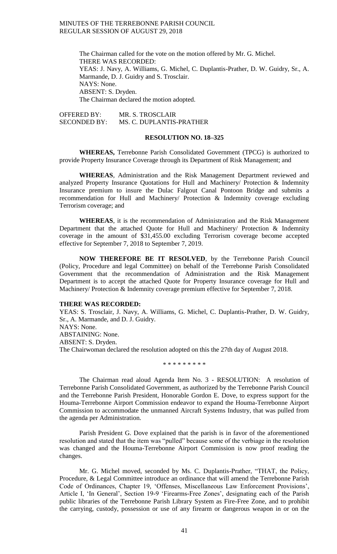The Chairman called for the vote on the motion offered by Mr. G. Michel. THERE WAS RECORDED: YEAS: J. Navy, A. Williams, G. Michel, C. Duplantis-Prather, D. W. Guidry, Sr., A. Marmande, D. J. Guidry and S. Trosclair. NAYS: None. ABSENT: S. Dryden. The Chairman declared the motion adopted.

OFFERED BY: MR. S. TROSCLAIR SECONDED BY: MS. C. DUPLANTIS-PRATHER

# **RESOLUTION NO. 18–325**

**WHEREAS,** Terrebonne Parish Consolidated Government (TPCG) is authorized to provide Property Insurance Coverage through its Department of Risk Management; and

**WHEREAS**, Administration and the Risk Management Department reviewed and analyzed Property Insurance Quotations for Hull and Machinery/ Protection & Indemnity Insurance premium to insure the Dulac Falgout Canal Pontoon Bridge and submits a recommendation for Hull and Machinery/ Protection & Indemnity coverage excluding Terrorism coverage; and

**WHEREAS**, it is the recommendation of Administration and the Risk Management Department that the attached Quote for Hull and Machinery/ Protection & Indemnity coverage in the amount of \$31,455.00 excluding Terrorism coverage become accepted effective for September 7, 2018 to September 7, 2019.

**NOW THEREFORE BE IT RESOLVED**, by the Terrebonne Parish Council (Policy, Procedure and legal Committee) on behalf of the Terrebonne Parish Consolidated Government that the recommendation of Administration and the Risk Management Department is to accept the attached Quote for Property Insurance coverage for Hull and Machinery/ Protection & Indemnity coverage premium effective for September 7, 2018.

### **THERE WAS RECORDED:**

YEAS: S. Trosclair, J. Navy, A. Williams, G. Michel, C. Duplantis-Prather, D. W. Guidry, Sr., A. Marmande, and D. J. Guidry. NAYS: None. ABSTAINING: None. ABSENT: S. Dryden.

The Chairwoman declared the resolution adopted on this the 27th day of August 2018.

\* \* \* \* \* \* \* \* \*

The Chairman read aloud Agenda Item No. 3 - RESOLUTION: A resolution of Terrebonne Parish Consolidated Government, as authorized by the Terrebonne Parish Council and the Terrebonne Parish President, Honorable Gordon E. Dove, to express support for the Houma-Terrebonne Airport Commission endeavor to expand the Houma-Terrebonne Airport Commission to accommodate the unmanned Aircraft Systems Industry, that was pulled from the agenda per Administration.

Parish President G. Dove explained that the parish is in favor of the aforementioned resolution and stated that the item was "pulled" because some of the verbiage in the resolution was changed and the Houma-Terrebonne Airport Commission is now proof reading the changes.

Mr. G. Michel moved, seconded by Ms. C. Duplantis-Prather, "THAT, the Policy, Procedure, & Legal Committee introduce an ordinance that will amend the Terrebonne Parish Code of Ordinances, Chapter 19, 'Offenses, Miscellaneous Law Enforcement Provisions', Article I, 'In General', Section 19-9 'Firearms-Free Zones', designating each of the Parish public libraries of the Terrebonne Parish Library System as Fire-Free Zone, and to prohibit the carrying, custody, possession or use of any firearm or dangerous weapon in or on the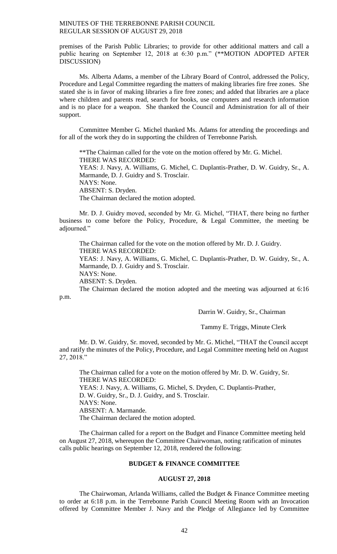premises of the Parish Public Libraries; to provide for other additional matters and call a public hearing on September 12, 2018 at 6:30 p.m." (\*\*MOTION ADOPTED AFTER DISCUSSION)

Ms. Alberta Adams, a member of the Library Board of Control, addressed the Policy, Procedure and Legal Committee regarding the matters of making libraries fire free zones. She stated she is in favor of making libraries a fire free zones; and added that libraries are a place where children and parents read, search for books, use computers and research information and is no place for a weapon. She thanked the Council and Administration for all of their support.

Committee Member G. Michel thanked Ms. Adams for attending the proceedings and for all of the work they do in supporting the children of Terrebonne Parish.

\*\*The Chairman called for the vote on the motion offered by Mr. G. Michel. THERE WAS RECORDED: YEAS: J. Navy, A. Williams, G. Michel, C. Duplantis-Prather, D. W. Guidry, Sr., A. Marmande, D. J. Guidry and S. Trosclair. NAYS: None. ABSENT: S. Dryden. The Chairman declared the motion adopted.

Mr. D. J. Guidry moved, seconded by Mr. G. Michel, "THAT, there being no further business to come before the Policy, Procedure, & Legal Committee, the meeting be adjourned."

The Chairman called for the vote on the motion offered by Mr. D. J. Guidry. THERE WAS RECORDED: YEAS: J. Navy, A. Williams, G. Michel, C. Duplantis-Prather, D. W. Guidry, Sr., A. Marmande, D. J. Guidry and S. Trosclair. NAYS: None.

ABSENT: S. Dryden.

p.m.

The Chairman declared the motion adopted and the meeting was adjourned at 6:16

Darrin W. Guidry, Sr., Chairman

Tammy E. Triggs, Minute Clerk

Mr. D. W. Guidry, Sr. moved, seconded by Mr. G. Michel, "THAT the Council accept and ratify the minutes of the Policy, Procedure, and Legal Committee meeting held on August 27, 2018."

The Chairman called for a vote on the motion offered by Mr. D. W. Guidry, Sr. THERE WAS RECORDED: YEAS: J. Navy, A. Williams, G. Michel, S. Dryden, C. Duplantis-Prather, D. W. Guidry, Sr., D. J. Guidry, and S. Trosclair. NAYS: None. ABSENT: A. Marmande. The Chairman declared the motion adopted.

The Chairman called for a report on the Budget and Finance Committee meeting held on August 27, 2018, whereupon the Committee Chairwoman, noting ratification of minutes calls public hearings on September 12, 2018, rendered the following:

# **BUDGET & FINANCE COMMITTEE**

# **AUGUST 27, 2018**

The Chairwoman, Arlanda Williams, called the Budget & Finance Committee meeting to order at 6:18 p.m. in the Terrebonne Parish Council Meeting Room with an Invocation offered by Committee Member J. Navy and the Pledge of Allegiance led by Committee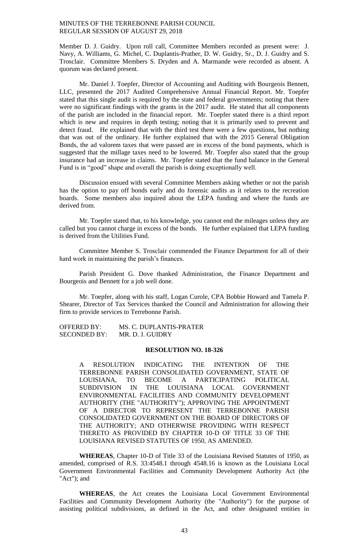Member D. J. Guidry. Upon roll call, Committee Members recorded as present were: J. Navy, A. Williams, G. Michel, C. Duplantis-Prather, D. W. Guidry, Sr., D. J. Guidry and S. Trosclair. Committee Members S. Dryden and A. Marmande were recorded as absent. A quorum was declared present.

Mr. Daniel J. Toepfer, Director of Accounting and Auditing with Bourgeois Bennett, LLC, presented the 2017 Audited Comprehensive Annual Financial Report. Mr. Toepfer stated that this single audit is required by the state and federal governments; noting that there were no significant findings with the grants in the 2017 audit. He stated that all components of the parish are included in the financial report. Mr. Toepfer stated there is a third report which is new and requires in depth testing; noting that it is primarily used to prevent and detect fraud. He explained that with the third test there were a few questions, but nothing that was out of the ordinary. He further explained that with the 2015 General Obligation Bonds, the ad valorem taxes that were passed are in excess of the bond payments, which is suggested that the millage taxes need to be lowered. Mr. Toepfer also stated that the group insurance had an increase in claims. Mr. Toepfer stated that the fund balance in the General Fund is in "good" shape and overall the parish is doing exceptionally well.

Discussion ensued with several Committee Members asking whether or not the parish has the option to pay off bonds early and do forensic audits as it relates to the recreation boards. Some members also inquired about the LEPA funding and where the funds are derived from.

Mr. Toepfer stated that, to his knowledge, you cannot end the mileages unless they are called but you cannot charge in excess of the bonds. He further explained that LEPA funding is derived from the Utilities Fund.

Committee Member S. Trosclair commended the Finance Department for all of their hard work in maintaining the parish's finances.

Parish President G. Dove thanked Administration, the Finance Department and Bourgeois and Bennett for a job well done.

Mr. Toepfer, along with his staff, Logan Curole, CPA Bobbie Howard and Tamela P. Shearer, Director of Tax Services thanked the Council and Administration for allowing their firm to provide services to Terrebonne Parish.

OFFERED BY: MS. C. DUPLANTIS-PRATER SECONDED BY: MR. D. J. GUIDRY

# **RESOLUTION NO. 18-326**

A RESOLUTION INDICATING THE INTENTION OF THE TERREBONNE PARISH CONSOLIDATED GOVERNMENT, STATE OF LOUISIANA, TO BECOME A PARTICIPATING POLITICAL SUBDIVISION IN THE LOUISIANA LOCAL GOVERNMENT ENVIRONMENTAL FACILITIES AND COMMUNITY DEVELOPMENT AUTHORITY (THE "AUTHORITY"); APPROVING THE APPOINTMENT OF A DIRECTOR TO REPRESENT THE TERREBONNE PARISH CONSOLIDATED GOVERNMENT ON THE BOARD OF DIRECTORS OF THE AUTHORITY; AND OTHERWISE PROVIDING WITH RESPECT THERETO AS PROVIDED BY CHAPTER 10-D OF TITLE 33 OF THE LOUISIANA REVISED STATUTES OF 1950, AS AMENDED.

**WHEREAS**, Chapter 10-D of Title 33 of the Louisiana Revised Statutes of 1950, as amended, comprised of R.S. 33:4548.1 through 4548.16 is known as the Louisiana Local Government Environmental Facilities and Community Development Authority Act (the "Act"); and

**WHEREAS**, the Act creates the Louisiana Local Government Environmental Facilities and Community Development Authority (the "Authority") for the purpose of assisting political subdivisions, as defined in the Act, and other designated entities in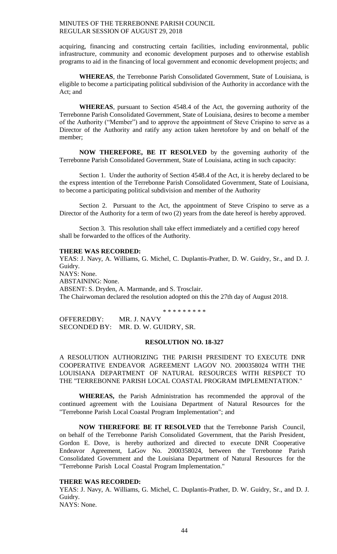acquiring, financing and constructing certain facilities, including environmental, public infrastructure, community and economic development purposes and to otherwise establish programs to aid in the financing of local government and economic development projects; and

**WHEREAS**, the Terrebonne Parish Consolidated Government, State of Louisiana, is eligible to become a participating political subdivision of the Authority in accordance with the Act; and

**WHEREAS**, pursuant to Section 4548.4 of the Act, the governing authority of the Terrebonne Parish Consolidated Government, State of Louisiana, desires to become a member of the Authority ("Member") and to approve the appointment of Steve Crispino to serve as a Director of the Authority and ratify any action taken heretofore by and on behalf of the member;

**NOW THEREFORE, BE IT RESOLVED** by the governing authority of the Terrebonne Parish Consolidated Government, State of Louisiana, acting in such capacity:

Section 1. Under the authority of Section 4548.4 of the Act, it is hereby declared to be the express intention of the Terrebonne Parish Consolidated Government, State of Louisiana, to become a participating political subdivision and member of the Authority

Section 2. Pursuant to the Act, the appointment of Steve Crispino to serve as a Director of the Authority for a term of two (2) years from the date hereof is hereby approved.

Section 3. This resolution shall take effect immediately and a certified copy hereof shall be forwarded to the offices of the Authority.

### **THERE WAS RECORDED:**

YEAS: J. Navy, A. Williams, G. Michel, C. Duplantis-Prather, D. W. Guidry, Sr., and D. J. Guidry. NAYS: None. ABSTAINING: None. ABSENT: S. Dryden, A. Marmande, and S. Trosclair. The Chairwoman declared the resolution adopted on this the 27th day of August 2018.

\* \* \* \* \* \* \* \* \*

OFFEREDBY: MR. J. NAVY SECONDED BY: MR. D. W. GUIDRY, SR.

## **RESOLUTION NO. 18-327**

A RESOLUTION AUTHORIZING THE PARISH PRESIDENT TO EXECUTE DNR COOPERATIVE ENDEAVOR AGREEMENT LAGOV NO. 2000358024 WITH THE LOUISIANA DEPARTMENT OF NATURAL RESOURCES WITH RESPECT TO THE "TERREBONNE PARISH LOCAL COASTAL PROGRAM IMPLEMENTATION."

**WHEREAS,** the Parish Administration has recommended the approval of the continued agreement with the Louisiana Department of Natural Resources for the "Terrebonne Parish Local Coastal Program Implementation"; and

**NOW THEREFORE BE IT RESOLVED** that the Terrebonne Parish Council, on behalf of the Terrebonne Parish Consolidated Government, that the Parish President, Gordon E. Dove, is hereby authorized and directed to execute DNR Cooperative Endeavor Agreement, LaGov No. 2000358024, between the Terrebonne Parish Consolidated Government and the Louisiana Department of Natural Resources for the "Terrebonne Parish Local Coastal Program Implementation."

### **THERE WAS RECORDED:**

YEAS: J. Navy, A. Williams, G. Michel, C. Duplantis-Prather, D. W. Guidry, Sr., and D. J. Guidry. NAYS: None.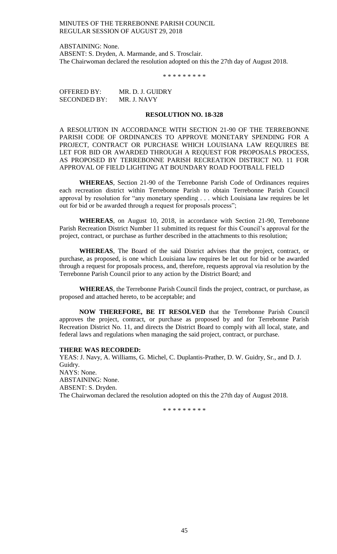ABSTAINING: None. ABSENT: S. Dryden, A. Marmande, and S. Trosclair. The Chairwoman declared the resolution adopted on this the 27th day of August 2018.

\* \* \* \* \* \* \* \* \*

| <b>OFFERED BY:</b>  | MR. D. J. GUIDRY |
|---------------------|------------------|
| <b>SECONDED BY:</b> | MR. J. NAVY      |

#### **RESOLUTION NO. 18-328**

A RESOLUTION IN ACCORDANCE WITH SECTION 21-90 OF THE TERREBONNE PARISH CODE OF ORDINANCES TO APPROVE MONETARY SPENDING FOR A PROJECT, CONTRACT OR PURCHASE WHICH LOUISIANA LAW REQUIRES BE LET FOR BID OR AWARDED THROUGH A REQUEST FOR PROPOSALS PROCESS, AS PROPOSED BY TERREBONNE PARISH RECREATION DISTRICT NO. 11 FOR APPROVAL OF FIELD LIGHTING AT BOUNDARY ROAD FOOTBALL FIELD

**WHEREAS**, Section 21-90 of the Terrebonne Parish Code of Ordinances requires each recreation district within Terrebonne Parish to obtain Terrebonne Parish Council approval by resolution for "any monetary spending . . . which Louisiana law requires be let out for bid or be awarded through a request for proposals process";

**WHEREAS**, on August 10, 2018, in accordance with Section 21-90, Terrebonne Parish Recreation District Number 11 submitted its request for this Council's approval for the project, contract, or purchase as further described in the attachments to this resolution;

**WHEREAS**, The Board of the said District advises that the project, contract, or purchase, as proposed, is one which Louisiana law requires be let out for bid or be awarded through a request for proposals process, and, therefore, requests approval via resolution by the Terrebonne Parish Council prior to any action by the District Board; and

**WHEREAS**, the Terrebonne Parish Council finds the project, contract, or purchase, as proposed and attached hereto, to be acceptable; and

**NOW THEREFORE, BE IT RESOLVED** that the Terrebonne Parish Council approves the project, contract, or purchase as proposed by and for Terrebonne Parish Recreation District No. 11, and directs the District Board to comply with all local, state, and federal laws and regulations when managing the said project, contract, or purchase.

### **THERE WAS RECORDED:**

YEAS: J. Navy, A. Williams, G. Michel, C. Duplantis-Prather, D. W. Guidry, Sr., and D. J. Guidry. NAYS: None. ABSTAINING: None. ABSENT: S. Dryden. The Chairwoman declared the resolution adopted on this the 27th day of August 2018.

\* \* \* \* \* \* \* \* \*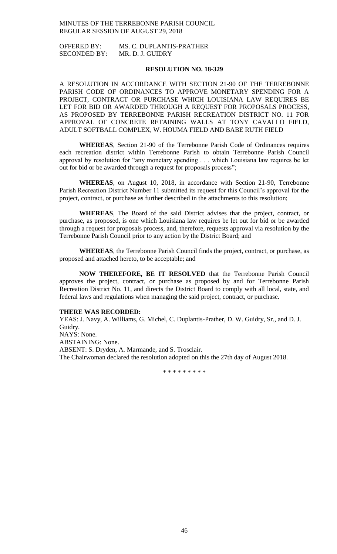OFFERED BY: MS. C. DUPLANTIS-PRATHER SECONDED BY: MR. D. J. GUIDRY

## **RESOLUTION NO. 18-329**

A RESOLUTION IN ACCORDANCE WITH SECTION 21-90 OF THE TERREBONNE PARISH CODE OF ORDINANCES TO APPROVE MONETARY SPENDING FOR A PROJECT, CONTRACT OR PURCHASE WHICH LOUISIANA LAW REQUIRES BE LET FOR BID OR AWARDED THROUGH A REQUEST FOR PROPOSALS PROCESS, AS PROPOSED BY TERREBONNE PARISH RECREATION DISTRICT NO. 11 FOR APPROVAL OF CONCRETE RETAINING WALLS AT TONY CAVALLO FIELD, ADULT SOFTBALL COMPLEX, W. HOUMA FIELD AND BABE RUTH FIELD

**WHEREAS**, Section 21-90 of the Terrebonne Parish Code of Ordinances requires each recreation district within Terrebonne Parish to obtain Terrebonne Parish Council approval by resolution for "any monetary spending . . . which Louisiana law requires be let out for bid or be awarded through a request for proposals process";

**WHEREAS**, on August 10, 2018, in accordance with Section 21-90, Terrebonne Parish Recreation District Number 11 submitted its request for this Council's approval for the project, contract, or purchase as further described in the attachments to this resolution;

**WHEREAS**, The Board of the said District advises that the project, contract, or purchase, as proposed, is one which Louisiana law requires be let out for bid or be awarded through a request for proposals process, and, therefore, requests approval via resolution by the Terrebonne Parish Council prior to any action by the District Board; and

**WHEREAS**, the Terrebonne Parish Council finds the project, contract, or purchase, as proposed and attached hereto, to be acceptable; and

**NOW THEREFORE, BE IT RESOLVED** that the Terrebonne Parish Council approves the project, contract, or purchase as proposed by and for Terrebonne Parish Recreation District No. 11, and directs the District Board to comply with all local, state, and federal laws and regulations when managing the said project, contract, or purchase.

#### **THERE WAS RECORDED:**

YEAS: J. Navy, A. Williams, G. Michel, C. Duplantis-Prather, D. W. Guidry, Sr., and D. J. Guidry. NAYS: None. ABSTAINING: None. ABSENT: S. Dryden, A. Marmande, and S. Trosclair. The Chairwoman declared the resolution adopted on this the 27th day of August 2018.

\* \* \* \* \* \* \* \* \*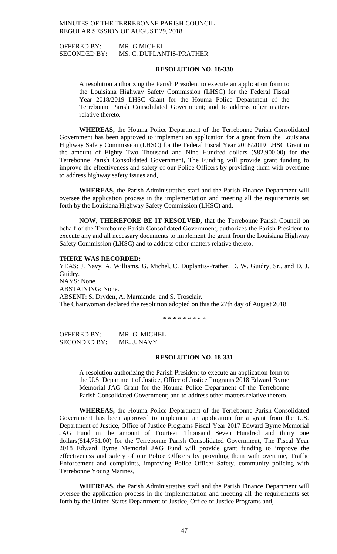OFFERED BY: MR. G.MICHEL SECONDED BY: MS. C. DUPLANTIS-PRATHER

## **RESOLUTION NO. 18-330**

A resolution authorizing the Parish President to execute an application form to the Louisiana Highway Safety Commission (LHSC) for the Federal Fiscal Year 2018/2019 LHSC Grant for the Houma Police Department of the Terrebonne Parish Consolidated Government; and to address other matters relative thereto.

**WHEREAS,** the Houma Police Department of the Terrebonne Parish Consolidated Government has been approved to implement an application for a grant from the Louisiana Highway Safety Commission (LHSC) for the Federal Fiscal Year 2018/2019 LHSC Grant in the amount of Eighty Two Thousand and Nine Hundred dollars (\$82,900.00) for the Terrebonne Parish Consolidated Government, The Funding will provide grant funding to improve the effectiveness and safety of our Police Officers by providing them with overtime to address highway safety issues and,

**WHEREAS,** the Parish Administrative staff and the Parish Finance Department will oversee the application process in the implementation and meeting all the requirements set forth by the Louisiana Highway Safety Commission (LHSC) and,

**NOW, THEREFORE BE IT RESOLVED,** that the Terrebonne Parish Council on behalf of the Terrebonne Parish Consolidated Government, authorizes the Parish President to execute any and all necessary documents to implement the grant from the Louisiana Highway Safety Commission (LHSC) and to address other matters relative thereto.

### **THERE WAS RECORDED:**

YEAS: J. Navy, A. Williams, G. Michel, C. Duplantis-Prather, D. W. Guidry, Sr., and D. J. Guidry. NAYS: None. ABSTAINING: None. ABSENT: S. Dryden, A. Marmande, and S. Trosclair. The Chairwoman declared the resolution adopted on this the 27th day of August 2018.

\* \* \* \* \* \* \* \* \*

OFFERED BY: MR. G. MICHEL SECONDED BY: MR. J. NAVY

### **RESOLUTION NO. 18-331**

A resolution authorizing the Parish President to execute an application form to the U.S. Department of Justice, Office of Justice Programs 2018 Edward Byrne Memorial JAG Grant for the Houma Police Department of the Terrebonne Parish Consolidated Government; and to address other matters relative thereto.

**WHEREAS,** the Houma Police Department of the Terrebonne Parish Consolidated Government has been approved to implement an application for a grant from the U.S. Department of Justice, Office of Justice Programs Fiscal Year 2017 Edward Byrne Memorial JAG Fund in the amount of Fourteen Thousand Seven Hundred and thirty one dollars(\$14,731.00) for the Terrebonne Parish Consolidated Government, The Fiscal Year 2018 Edward Byrne Memorial JAG Fund will provide grant funding to improve the effectiveness and safety of our Police Officers by providing them with overtime, Traffic Enforcement and complaints, improving Police Officer Safety, community policing with Terrebonne Young Marines,

**WHEREAS,** the Parish Administrative staff and the Parish Finance Department will oversee the application process in the implementation and meeting all the requirements set forth by the United States Department of Justice, Office of Justice Programs and,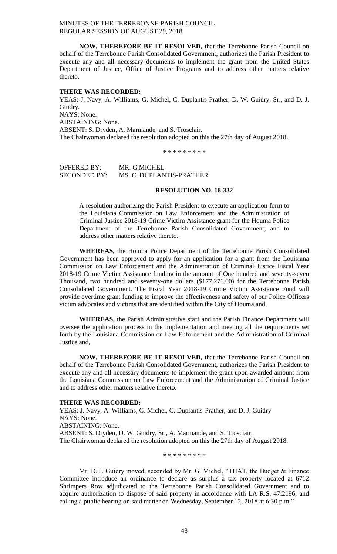**NOW, THEREFORE BE IT RESOLVED,** that the Terrebonne Parish Council on behalf of the Terrebonne Parish Consolidated Government, authorizes the Parish President to execute any and all necessary documents to implement the grant from the United States Department of Justice, Office of Justice Programs and to address other matters relative thereto.

### **THERE WAS RECORDED:**

YEAS: J. Navy, A. Williams, G. Michel, C. Duplantis-Prather, D. W. Guidry, Sr., and D. J. Guidry. NAYS: None. ABSTAINING: None. ABSENT: S. Dryden, A. Marmande, and S. Trosclair. The Chairwoman declared the resolution adopted on this the 27th day of August 2018.

\* \* \* \* \* \* \* \* \*

OFFERED BY: MR. G.MICHEL SECONDED BY: MS. C. DUPLANTIS-PRATHER

# **RESOLUTION NO. 18-332**

A resolution authorizing the Parish President to execute an application form to the Louisiana Commission on Law Enforcement and the Administration of Criminal Justice 2018-19 Crime Victim Assistance grant for the Houma Police Department of the Terrebonne Parish Consolidated Government; and to address other matters relative thereto.

**WHEREAS,** the Houma Police Department of the Terrebonne Parish Consolidated Government has been approved to apply for an application for a grant from the Louisiana Commission on Law Enforcement and the Administration of Criminal Justice Fiscal Year 2018-19 Crime Victim Assistance funding in the amount of One hundred and seventy-seven Thousand, two hundred and seventy-one dollars (\$177,271.00) for the Terrebonne Parish Consolidated Government. The Fiscal Year 2018-19 Crime Victim Assistance Fund will provide overtime grant funding to improve the effectiveness and safety of our Police Officers victim advocates and victims that are identified within the City of Houma and,

**WHEREAS,** the Parish Administrative staff and the Parish Finance Department will oversee the application process in the implementation and meeting all the requirements set forth by the Louisiana Commission on Law Enforcement and the Administration of Criminal Justice and,

**NOW, THEREFORE BE IT RESOLVED,** that the Terrebonne Parish Council on behalf of the Terrebonne Parish Consolidated Government, authorizes the Parish President to execute any and all necessary documents to implement the grant upon awarded amount from the Louisiana Commission on Law Enforcement and the Administration of Criminal Justice and to address other matters relative thereto.

#### **THERE WAS RECORDED:**

YEAS: J. Navy, A. Williams, G. Michel, C. Duplantis-Prather, and D. J. Guidry. NAYS: None. ABSTAINING: None. ABSENT: S. Dryden, D. W. Guidry, Sr., A. Marmande, and S. Trosclair. The Chairwoman declared the resolution adopted on this the 27th day of August 2018.

\* \* \* \* \* \* \* \* \*

Mr. D. J. Guidry moved, seconded by Mr. G. Michel, "THAT, the Budget & Finance Committee introduce an ordinance to declare as surplus a tax property located at 6712 Shrimpers Row adjudicated to the Terrebonne Parish Consolidated Government and to acquire authorization to dispose of said property in accordance with LA R.S. 47:2196; and calling a public hearing on said matter on Wednesday, September 12, 2018 at 6:30 p.m."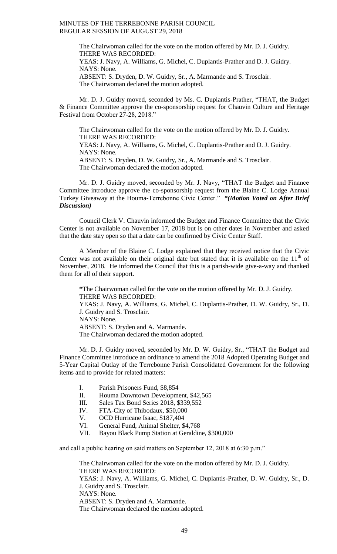The Chairwoman called for the vote on the motion offered by Mr. D. J. Guidry. THERE WAS RECORDED: YEAS: J. Navy, A. Williams, G. Michel, C. Duplantis-Prather and D. J. Guidry. NAYS: None. ABSENT: S. Dryden, D. W. Guidry, Sr., A. Marmande and S. Trosclair. The Chairwoman declared the motion adopted.

Mr. D. J. Guidry moved, seconded by Ms. C. Duplantis-Prather, "THAT, the Budget & Finance Committee approve the co-sponsorship request for Chauvin Culture and Heritage Festival from October 27-28, 2018."

The Chairwoman called for the vote on the motion offered by Mr. D. J. Guidry. THERE WAS RECORDED: YEAS: J. Navy, A. Williams, G. Michel, C. Duplantis-Prather and D. J. Guidry. NAYS: None. ABSENT: S. Dryden, D. W. Guidry, Sr., A. Marmande and S. Trosclair. The Chairwoman declared the motion adopted.

Mr. D. J. Guidry moved, seconded by Mr. J. Navy, "THAT the Budget and Finance Committee introduce approve the co-sponsorship request from the Blaine C. Lodge Annual Turkey Giveaway at the Houma-Terrebonne Civic Center." *\*(Motion Voted on After Brief Discussion)*

Council Clerk V. Chauvin informed the Budget and Finance Committee that the Civic Center is not available on November 17, 2018 but is on other dates in November and asked that the date stay open so that a date can be confirmed by Civic Center Staff.

A Member of the Blaine C. Lodge explained that they received notice that the Civic Center was not available on their original date but stated that it is available on the  $11<sup>th</sup>$  of November, 2018. He informed the Council that this is a parish-wide give-a-way and thanked them for all of their support.

**\***The Chairwoman called for the vote on the motion offered by Mr. D. J. Guidry. THERE WAS RECORDED: YEAS: J. Navy, A. Williams, G. Michel, C. Duplantis-Prather, D. W. Guidry, Sr., D. J. Guidry and S. Trosclair. NAYS: None. ABSENT: S. Dryden and A. Marmande. The Chairwoman declared the motion adopted.

Mr. D. J. Guidry moved, seconded by Mr. D. W. Guidry, Sr., "THAT the Budget and Finance Committee introduce an ordinance to amend the 2018 Adopted Operating Budget and 5-Year Capital Outlay of the Terrebonne Parish Consolidated Government for the following items and to provide for related matters:

- I. Parish Prisoners Fund, \$8,854
- II. Houma Downtown Development, \$42,565
- III. Sales Tax Bond Series 2018, \$339,552
- IV. FTA-City of Thibodaux, \$50,000
- V. OCD Hurricane Isaac, \$187,404
- VI. General Fund, Animal Shelter, \$4,768
- VII. Bayou Black Pump Station at Geraldine, \$300,000

and call a public hearing on said matters on September 12, 2018 at 6:30 p.m."

The Chairwoman called for the vote on the motion offered by Mr. D. J. Guidry. THERE WAS RECORDED: YEAS: J. Navy, A. Williams, G. Michel, C. Duplantis-Prather, D. W. Guidry, Sr., D. J. Guidry and S. Trosclair. NAYS: None. ABSENT: S. Dryden and A. Marmande. The Chairwoman declared the motion adopted.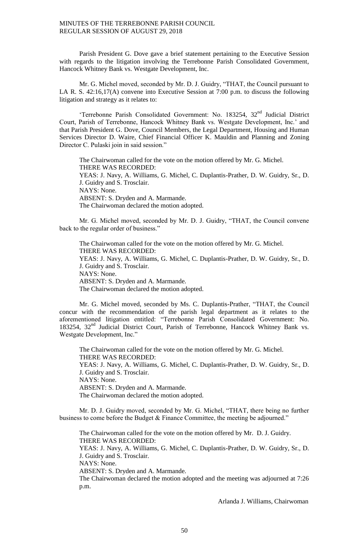Parish President G. Dove gave a brief statement pertaining to the Executive Session with regards to the litigation involving the Terrebonne Parish Consolidated Government, Hancock Whitney Bank vs. Westgate Development, Inc.

Mr. G. Michel moved, seconded by Mr. D. J. Guidry, "THAT, the Council pursuant to LA R. S. 42:16,17(A) convene into Executive Session at 7:00 p.m. to discuss the following litigation and strategy as it relates to:

'Terrebonne Parish Consolidated Government: No. 183254, 32<sup>nd</sup> Judicial District Court, Parish of Terrebonne, Hancock Whitney Bank vs. Westgate Development, Inc.' and that Parish President G. Dove, Council Members, the Legal Department, Housing and Human Services Director D. Waire, Chief Financial Officer K. Mauldin and Planning and Zoning Director C. Pulaski join in said session."

The Chairwoman called for the vote on the motion offered by Mr. G. Michel. THERE WAS RECORDED: YEAS: J. Navy, A. Williams, G. Michel, C. Duplantis-Prather, D. W. Guidry, Sr., D. J. Guidry and S. Trosclair. NAYS: None. ABSENT: S. Dryden and A. Marmande. The Chairwoman declared the motion adopted.

Mr. G. Michel moved, seconded by Mr. D. J. Guidry, "THAT, the Council convene back to the regular order of business."

The Chairwoman called for the vote on the motion offered by Mr. G. Michel. THERE WAS RECORDED: YEAS: J. Navy, A. Williams, G. Michel, C. Duplantis-Prather, D. W. Guidry, Sr., D. J. Guidry and S. Trosclair. NAYS: None. ABSENT: S. Dryden and A. Marmande. The Chairwoman declared the motion adopted.

Mr. G. Michel moved, seconded by Ms. C. Duplantis-Prather, "THAT, the Council concur with the recommendation of the parish legal department as it relates to the aforementioned litigation entitled: "Terrebonne Parish Consolidated Government: No. 183254, 32nd Judicial District Court, Parish of Terrebonne, Hancock Whitney Bank vs. Westgate Development, Inc."

The Chairwoman called for the vote on the motion offered by Mr. G. Michel. THERE WAS RECORDED: YEAS: J. Navy, A. Williams, G. Michel, C. Duplantis-Prather, D. W. Guidry, Sr., D. J. Guidry and S. Trosclair. NAYS: None. ABSENT: S. Dryden and A. Marmande. The Chairwoman declared the motion adopted.

Mr. D. J. Guidry moved, seconded by Mr. G. Michel, "THAT, there being no further business to come before the Budget & Finance Committee, the meeting be adjourned."

The Chairwoman called for the vote on the motion offered by Mr. D. J. Guidry. THERE WAS RECORDED:

YEAS: J. Navy, A. Williams, G. Michel, C. Duplantis-Prather, D. W. Guidry, Sr., D. J. Guidry and S. Trosclair.

NAYS: None.

ABSENT: S. Dryden and A. Marmande.

The Chairwoman declared the motion adopted and the meeting was adjourned at 7:26 p.m.

Arlanda J. Williams, Chairwoman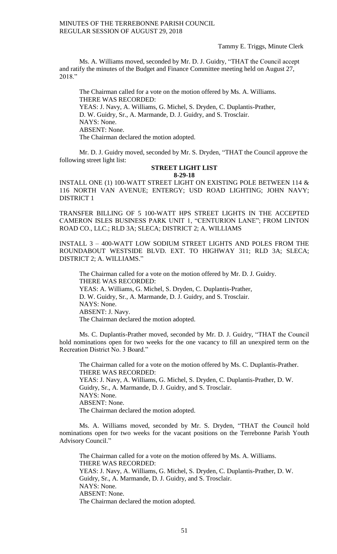# Tammy E. Triggs, Minute Clerk

Ms. A. Williams moved, seconded by Mr. D. J. Guidry, "THAT the Council accept and ratify the minutes of the Budget and Finance Committee meeting held on August 27, 2018."

The Chairman called for a vote on the motion offered by Ms. A. Williams. THERE WAS RECORDED: YEAS: J. Navy, A. Williams, G. Michel, S. Dryden, C. Duplantis-Prather, D. W. Guidry, Sr., A. Marmande, D. J. Guidry, and S. Trosclair. NAYS: None. ABSENT: None. The Chairman declared the motion adopted.

Mr. D. J. Guidry moved, seconded by Mr. S. Dryden, "THAT the Council approve the following street light list:

#### **STREET LIGHT LIST 8-29-18**

INSTALL ONE (1) 100-WATT STREET LIGHT ON EXISTING POLE BETWEEN 114 & 116 NORTH VAN AVENUE; ENTERGY; USD ROAD LIGHTING; JOHN NAVY; DISTRICT 1

TRANSFER BILLING OF 5 100-WATT HPS STREET LIGHTS IN THE ACCEPTED CAMERON ISLES BUSINESS PARK UNIT 1, "CENTURION LANE"; FROM LINTON ROAD CO., LLC.; RLD 3A; SLECA; DISTRICT 2; A. WILLIAMS

INSTALL 3 – 400-WATT LOW SODIUM STREET LIGHTS AND POLES FROM THE ROUNDABOUT WESTSIDE BLVD. EXT. TO HIGHWAY 311; RLD 3A; SLECA; DISTRICT 2; A. WILLIAMS."

The Chairman called for a vote on the motion offered by Mr. D. J. Guidry. THERE WAS RECORDED: YEAS: A. Williams, G. Michel, S. Dryden, C. Duplantis-Prather, D. W. Guidry, Sr., A. Marmande, D. J. Guidry, and S. Trosclair. NAYS: None. ABSENT: J. Navy. The Chairman declared the motion adopted.

Ms. C. Duplantis-Prather moved, seconded by Mr. D. J. Guidry, "THAT the Council hold nominations open for two weeks for the one vacancy to fill an unexpired term on the Recreation District No. 3 Board."

The Chairman called for a vote on the motion offered by Ms. C. Duplantis-Prather. THERE WAS RECORDED: YEAS: J. Navy, A. Williams, G. Michel, S. Dryden, C. Duplantis-Prather, D. W. Guidry, Sr., A. Marmande, D. J. Guidry, and S. Trosclair. NAYS: None. ABSENT: None. The Chairman declared the motion adopted.

Ms. A. Williams moved, seconded by Mr. S. Dryden, "THAT the Council hold nominations open for two weeks for the vacant positions on the Terrebonne Parish Youth Advisory Council."

The Chairman called for a vote on the motion offered by Ms. A. Williams. THERE WAS RECORDED: YEAS: J. Navy, A. Williams, G. Michel, S. Dryden, C. Duplantis-Prather, D. W. Guidry, Sr., A. Marmande, D. J. Guidry, and S. Trosclair. NAYS: None. ABSENT: None. The Chairman declared the motion adopted.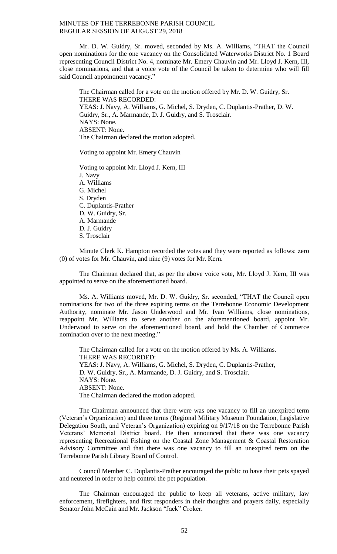Mr. D. W. Guidry, Sr. moved, seconded by Ms. A. Williams, "THAT the Council open nominations for the one vacancy on the Consolidated Waterworks District No. 1 Board representing Council District No. 4, nominate Mr. Emery Chauvin and Mr. Lloyd J. Kern, III, close nominations, and that a voice vote of the Council be taken to determine who will fill said Council appointment vacancy."

The Chairman called for a vote on the motion offered by Mr. D. W. Guidry, Sr. THERE WAS RECORDED: YEAS: J. Navy, A. Williams, G. Michel, S. Dryden, C. Duplantis-Prather, D. W. Guidry, Sr., A. Marmande, D. J. Guidry, and S. Trosclair. NAYS: None. ABSENT: None. The Chairman declared the motion adopted.

Voting to appoint Mr. Emery Chauvin

Voting to appoint Mr. Lloyd J. Kern, III J. Navy A. Williams G. Michel S. Dryden C. Duplantis-Prather D. W. Guidry, Sr. A. Marmande D. J. Guidry S. Trosclair

Minute Clerk K. Hampton recorded the votes and they were reported as follows: zero (0) of votes for Mr. Chauvin, and nine (9) votes for Mr. Kern.

The Chairman declared that, as per the above voice vote, Mr. Lloyd J. Kern, III was appointed to serve on the aforementioned board.

Ms. A. Williams moved, Mr. D. W. Guidry, Sr. seconded, "THAT the Council open nominations for two of the three expiring terms on the Terrebonne Economic Development Authority, nominate Mr. Jason Underwood and Mr. Ivan Williams, close nominations, reappoint Mr. Williams to serve another on the aforementioned board, appoint Mr. Underwood to serve on the aforementioned board, and hold the Chamber of Commerce nomination over to the next meeting."

The Chairman called for a vote on the motion offered by Ms. A. Williams. THERE WAS RECORDED: YEAS: J. Navy, A. Williams, G. Michel, S. Dryden, C. Duplantis-Prather, D. W. Guidry, Sr., A. Marmande, D. J. Guidry, and S. Trosclair. NAYS: None. ABSENT: None. The Chairman declared the motion adopted.

The Chairman announced that there were was one vacancy to fill an unexpired term (Veteran's Organization) and three terms (Regional Military Museum Foundation, Legislative Delegation South, and Veteran's Organization) expiring on 9/17/18 on the Terrebonne Parish Veterans' Memorial District board. He then announced that there was one vacancy representing Recreational Fishing on the Coastal Zone Management & Coastal Restoration Advisory Committee and that there was one vacancy to fill an unexpired term on the Terrebonne Parish Library Board of Control.

Council Member C. Duplantis-Prather encouraged the public to have their pets spayed and neutered in order to help control the pet population.

The Chairman encouraged the public to keep all veterans, active military, law enforcement, firefighters, and first responders in their thoughts and prayers daily, especially Senator John McCain and Mr. Jackson "Jack" Croker.